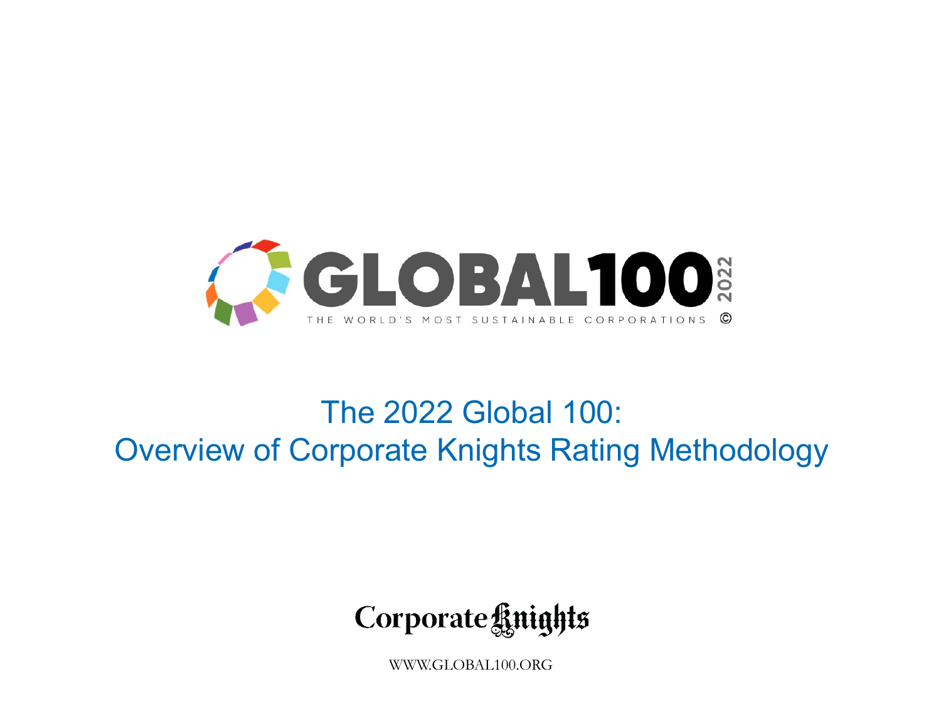

## The 2022 Global 100: Overview of Corporate Knights Rating Methodology

Corporate ginights

WWW.GLOBAL100.ORG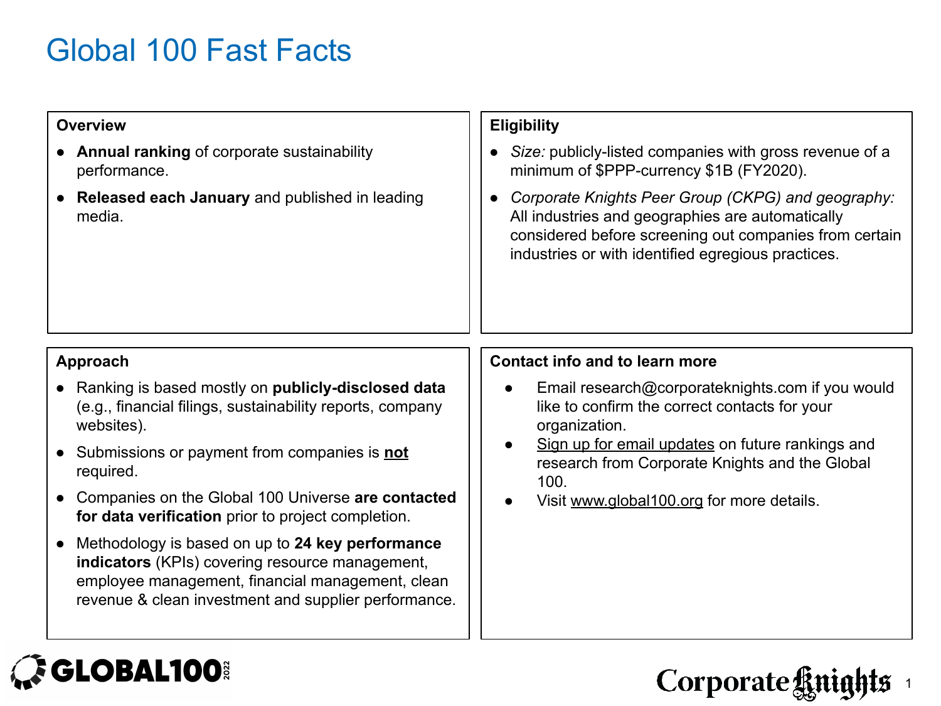### Global 100 Fast Facts

| <b>Overview</b>                                                                                                                                                                                                                                                                                                                                                                                                                                                                                                                                                              | <b>Eligibility</b>                                                                                                                                                                                                                                                                                                     |
|------------------------------------------------------------------------------------------------------------------------------------------------------------------------------------------------------------------------------------------------------------------------------------------------------------------------------------------------------------------------------------------------------------------------------------------------------------------------------------------------------------------------------------------------------------------------------|------------------------------------------------------------------------------------------------------------------------------------------------------------------------------------------------------------------------------------------------------------------------------------------------------------------------|
| • Annual ranking of corporate sustainability<br>performance.                                                                                                                                                                                                                                                                                                                                                                                                                                                                                                                 | Size: publicly-listed companies with gross revenue of a<br>minimum of \$PPP-currency \$1B (FY2020).                                                                                                                                                                                                                    |
| Released each January and published in leading<br>media.                                                                                                                                                                                                                                                                                                                                                                                                                                                                                                                     | Corporate Knights Peer Group (CKPG) and geography:<br>$\bullet$<br>All industries and geographies are automatically<br>considered before screening out companies from certain<br>industries or with identified egregious practices.                                                                                    |
|                                                                                                                                                                                                                                                                                                                                                                                                                                                                                                                                                                              |                                                                                                                                                                                                                                                                                                                        |
| Approach<br>Ranking is based mostly on publicly-disclosed data<br>$\bullet$<br>(e.g., financial filings, sustainability reports, company<br>websites).<br>Submissions or payment from companies is not<br>required.<br>Companies on the Global 100 Universe are contacted<br>$\bullet$<br>for data verification prior to project completion.<br>Methodology is based on up to 24 key performance<br>$\bullet$<br>indicators (KPIs) covering resource management,<br>employee management, financial management, clean<br>revenue & clean investment and supplier performance. | <b>Contact info and to learn more</b><br>Email research@corporateknights.com if you would<br>like to confirm the correct contacts for your<br>organization.<br>Sign up for email updates on future rankings and<br>research from Corporate Knights and the Global<br>100.<br>Visit www.global100.org for more details. |

**GLOBAL100** 

#### Corporate Linights 1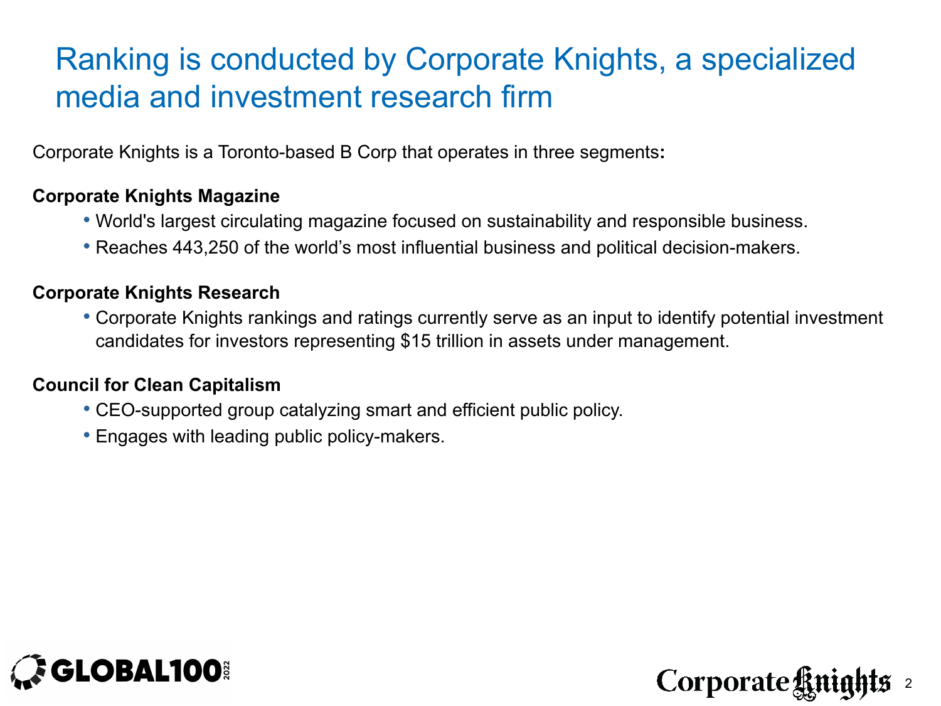### Ranking is conducted by Corporate Knights, a specialized media and investment research firm

Corporate Knights is a Toronto-based B Corp that operates in three segments**:**

#### **Corporate Knights Magazine**

- World's largest circulating magazine focused on sustainability and responsible business.
- Reaches 443,250 of the world's most influential business and political decision-makers.

#### **Corporate Knights Research**

• Corporate Knights rankings and ratings currently serve as an input to identify potential investment candidates for investors representing \$15 trillion in assets under management.

#### **Council for Clean Capitalism**

- CEO-supported group catalyzing smart and efficient public policy.
- Engages with leading public policy-makers.



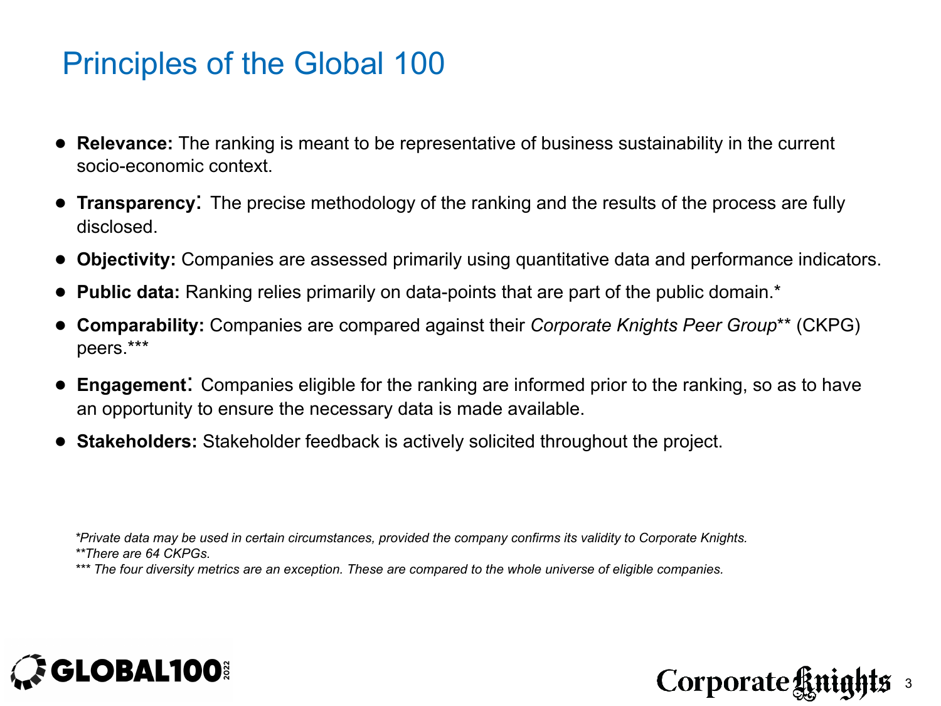#### Principles of the Global 100

- **● Relevance:** The ranking is meant to be representative of business sustainability in the current socio-economic context.
- **Transparency:** The precise methodology of the ranking and the results of the process are fully disclosed.
- **Objectivity:** Companies are assessed primarily using quantitative data and performance indicators.
- **● Public data:** Ranking relies primarily on data-points that are part of the public domain.\*
- **● Comparability:** Companies are compared against their *Corporate Knights Peer Group*\*\* (CKPG) peers.\*\*\*
- **Engagement:** Companies eligible for the ranking are informed prior to the ranking, so as to have an opportunity to ensure the necessary data is made available.
- **Stakeholders:** Stakeholder feedback is actively solicited throughout the project.

*\*Private data may be used in certain circumstances, provided the company confirms its validity to Corporate Knights. \*\*There are 64 CKPGs.*

*\*\*\* The four diversity metrics are an exception. These are compared to the whole universe of eligible companies.*



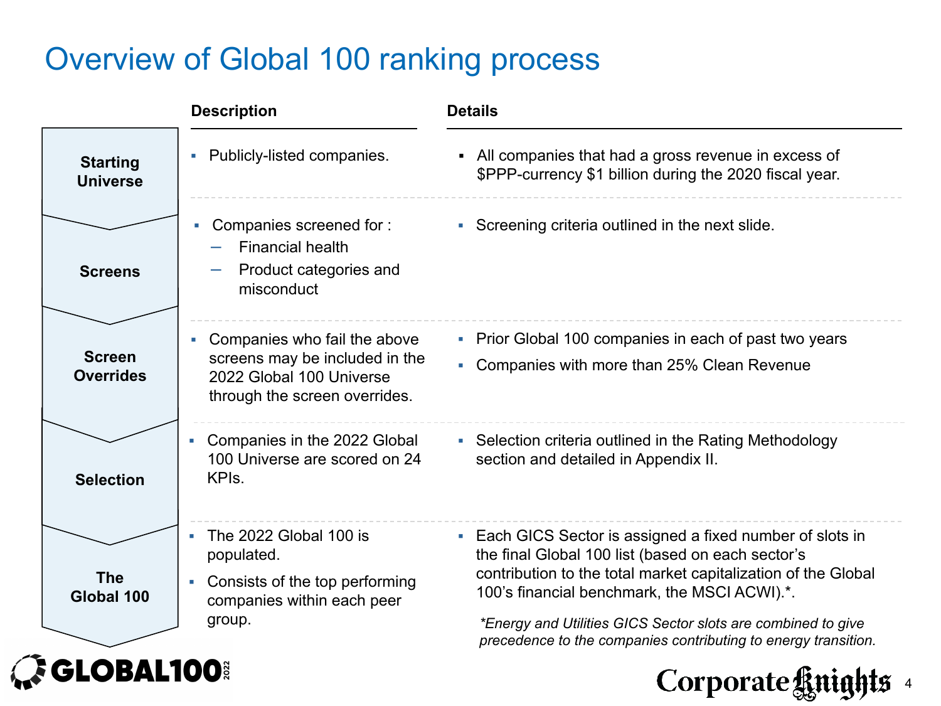### Overview of Global 100 ranking process

|                                    | <b>Description</b>                                                                                                                | <b>Details</b>                                                                                                                                                                                                                  |
|------------------------------------|-----------------------------------------------------------------------------------------------------------------------------------|---------------------------------------------------------------------------------------------------------------------------------------------------------------------------------------------------------------------------------|
| <b>Starting</b><br><b>Universe</b> | Publicly-listed companies.<br>a.                                                                                                  | • All companies that had a gross revenue in excess of<br>\$PPP-currency \$1 billion during the 2020 fiscal year.                                                                                                                |
| <b>Screens</b>                     | Companies screened for:<br><b>Financial health</b><br>Product categories and<br>misconduct                                        | • Screening criteria outlined in the next slide.                                                                                                                                                                                |
| <b>Screen</b><br><b>Overrides</b>  | Companies who fail the above<br>Ì.<br>screens may be included in the<br>2022 Global 100 Universe<br>through the screen overrides. | • Prior Global 100 companies in each of past two years<br>Companies with more than 25% Clean Revenue<br>$\mathcal{L}_{\mathcal{A}}$                                                                                             |
| <b>Selection</b>                   | Companies in the 2022 Global<br>L.<br>100 Universe are scored on 24<br>KPI <sub>s</sub> .                                         | - Selection criteria outlined in the Rating Methodology<br>section and detailed in Appendix II.                                                                                                                                 |
| <b>The</b><br>Global 100           | The 2022 Global 100 is<br>populated.<br>Consists of the top performing<br>$\overline{\phantom{a}}$<br>companies within each peer  | • Each GICS Sector is assigned a fixed number of slots in<br>the final Global 100 list (based on each sector's<br>contribution to the total market capitalization of the Global<br>100's financial benchmark, the MSCI ACWI).*. |
|                                    | group.                                                                                                                            | *Energy and Utilities GICS Sector slots are combined to give<br>precedence to the companies contributing to energy transition.                                                                                                  |

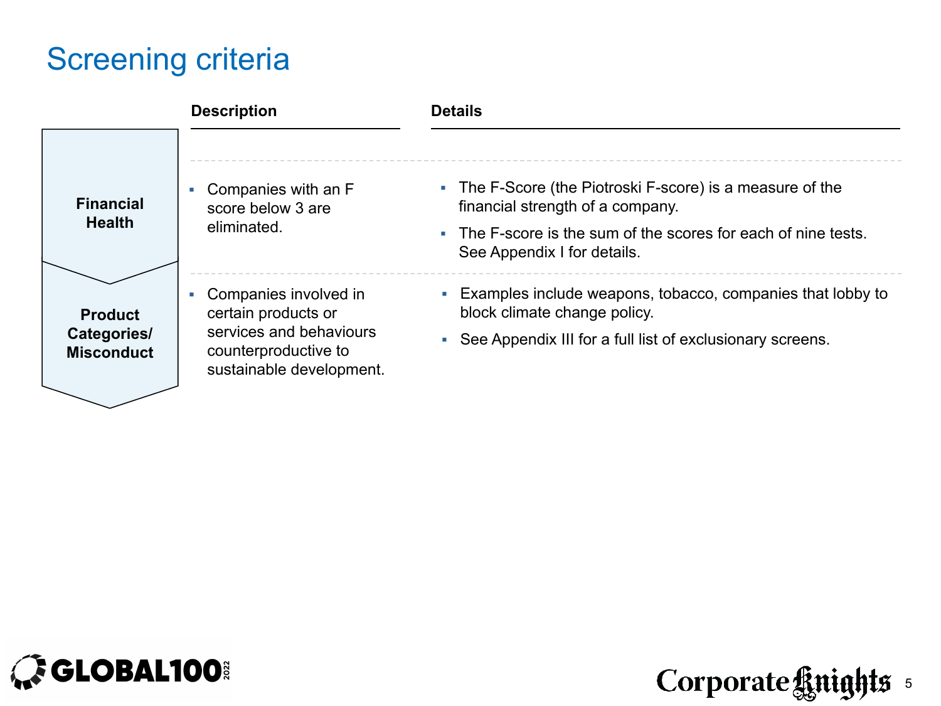### Screening criteria





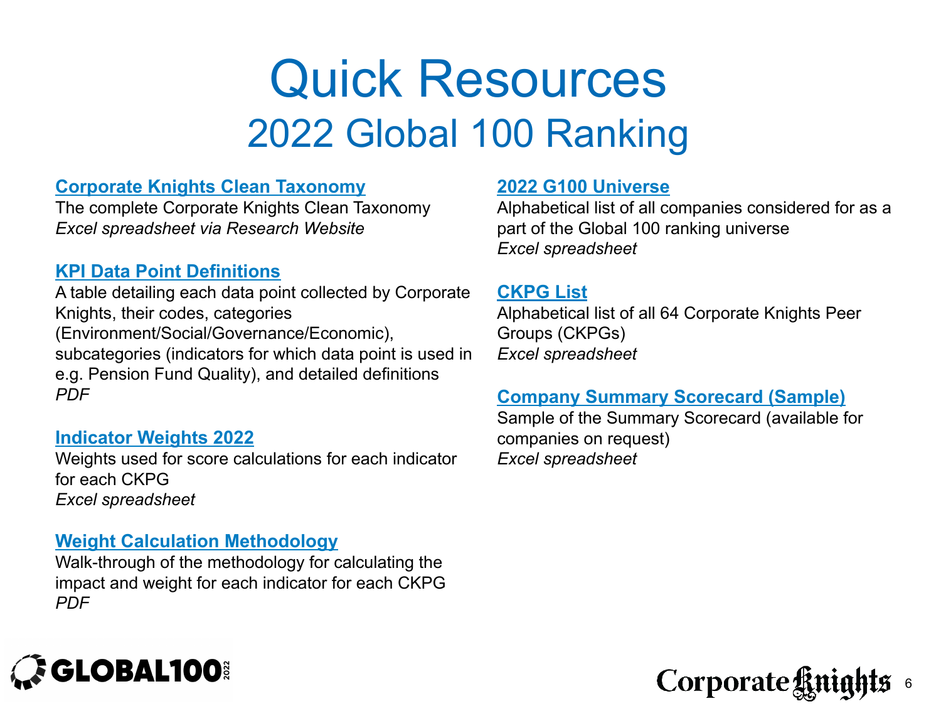# Quick Resources 2022 Global 100 Ranking

#### **[Corporate Knights Clean Taxonomy](https://www.corporateknights.com/wp-content/uploads/2022/02/Corporate-Knights-Clean-Taxonomy-V5.0.xlsx)**

The complete Corporate Knights Clean Taxonomy *Excel spreadsheet via Research Website*

#### **[KPI Data Point Definitions](https://www.corporateknights.com/wp-content/uploads/2021/09/KPI-Data-Point-List-210916.xlsx)**

A table detailing each data point collected by Corporate Knights, their codes, categories (Environment/Social/Governance/Economic), subcategories (indicators for which data point is used in e.g. Pension Fund Quality), and detailed definitions *PDF*

#### **[Indicator Weights 2022](https://www.corporateknights.com/wp-content/uploads/2021/12/2022-Corporate-Knights-Final-Indicator-Weightings.xlsx)**

Weights used for score calculations for each indicator for each CKPG *Excel spreadsheet*

#### **[Weight Calculation Methodology](https://www.corporateknights.com/wp-content/uploads/2021/11/2021-2023-Corporate-Knights-Impact-Weight-Calculation-Methodology-.pdf)**

Walk-through of the methodology for calculating the impact and weight for each indicator for each CKPG *PDF*

### **GLOBAL100**

#### **[2022 G100 Universe](https://www.corporateknights.com/wp-content/uploads/2021/11/2022-G100-Universe.csv)**

Alphabetical list of all companies considered for as a part of the Global 100 ranking universe *Excel spreadsheet*

#### **[CKPG List](https://www.corporateknights.com/wp-content/uploads/2021/11/2022-Corporate-Knights-Peer-Groups-CKPG.xlsx)**

Alphabetical list of all 64 Corporate Knights Peer Groups (CKPGs) *Excel spreadsheet*

#### **[Company Summary Scorecard \(Sample\)](https://www.corporateknights.com/wp-content/uploads/2022/05/2022-Scorecard-Sample.xlsx)**

Sample of the Summary Scorecard (available for companies on request) *Excel spreadsheet*

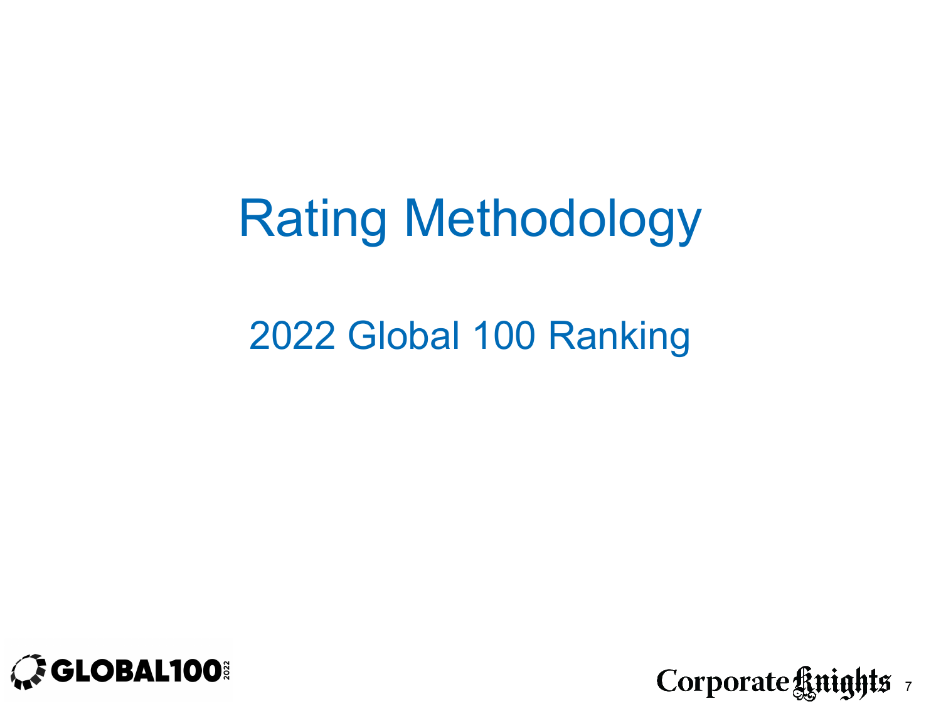# Rating Methodology

# 2022 Global 100 Ranking



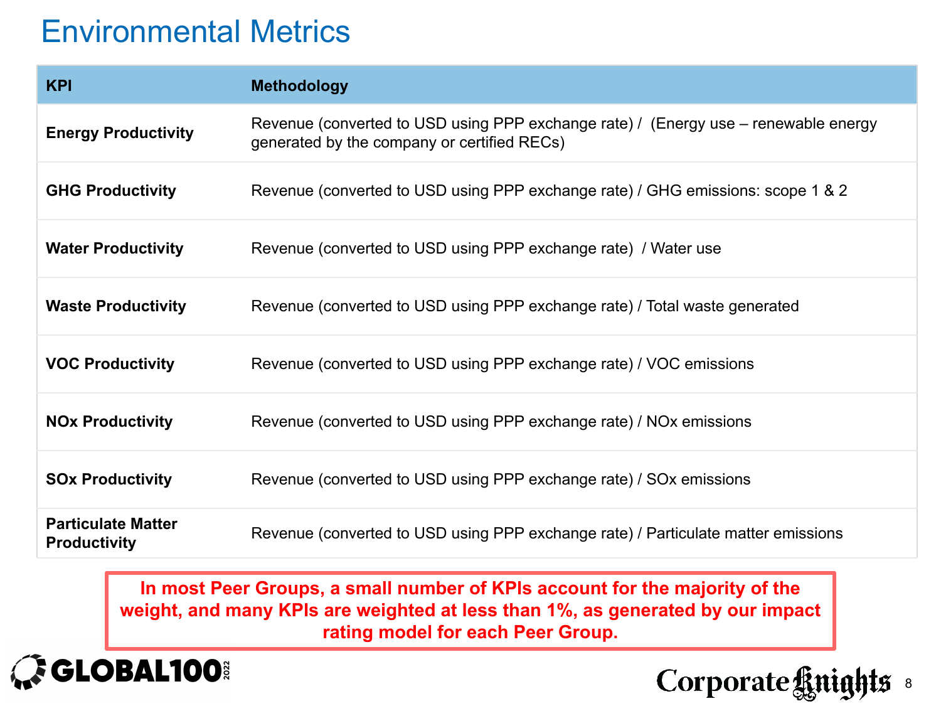### Environmental Metrics

| <b>KPI</b>                                       | <b>Methodology</b>                                                                                                                 |
|--------------------------------------------------|------------------------------------------------------------------------------------------------------------------------------------|
| <b>Energy Productivity</b>                       | Revenue (converted to USD using PPP exchange rate) / (Energy use – renewable energy<br>generated by the company or certified RECs) |
| <b>GHG Productivity</b>                          | Revenue (converted to USD using PPP exchange rate) / GHG emissions: scope 1 & 2                                                    |
| <b>Water Productivity</b>                        | Revenue (converted to USD using PPP exchange rate) / Water use                                                                     |
| <b>Waste Productivity</b>                        | Revenue (converted to USD using PPP exchange rate) / Total waste generated                                                         |
| <b>VOC Productivity</b>                          | Revenue (converted to USD using PPP exchange rate) / VOC emissions                                                                 |
| <b>NOx Productivity</b>                          | Revenue (converted to USD using PPP exchange rate) / NOx emissions                                                                 |
| <b>SOx Productivity</b>                          | Revenue (converted to USD using PPP exchange rate) / SOx emissions                                                                 |
| <b>Particulate Matter</b><br><b>Productivity</b> | Revenue (converted to USD using PPP exchange rate) / Particulate matter emissions                                                  |

**In most Peer Groups, a small number of KPIs account for the majority of the weight, and many KPIs are weighted at less than 1%, as generated by our impact rating model for each Peer Group.**

GLOBAL100

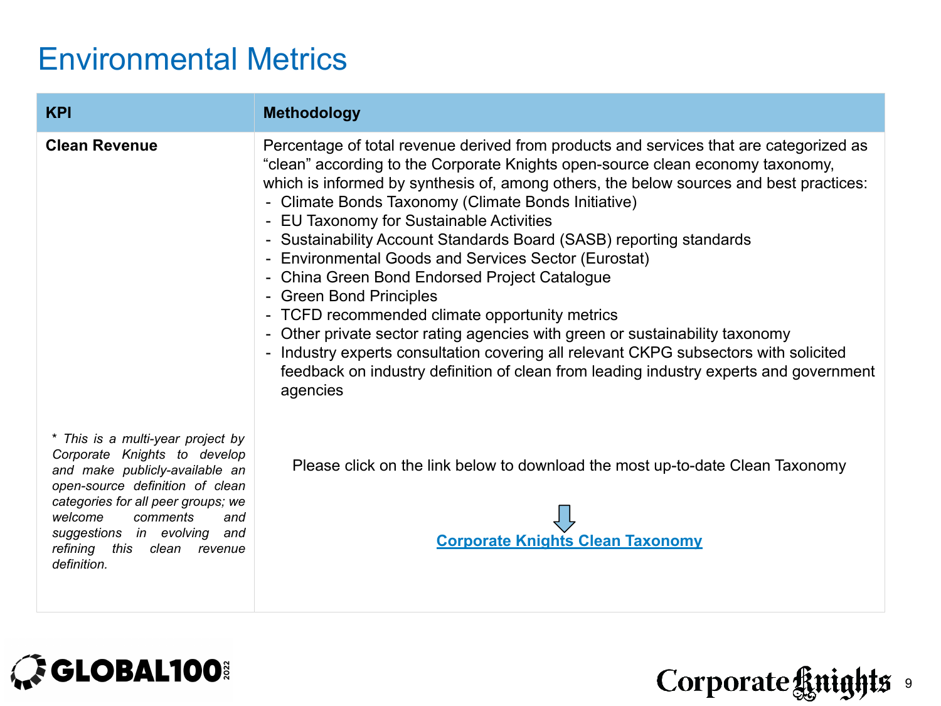### Environmental Metrics

| <b>KPI</b>                                                                                                                                                                                                                                                                                 | <b>Methodology</b>                                                                                                                                                                                                                                                                                                                                                                                                                                                                                                                                                                                                                                                                                                                                                                                                                                                                                        |
|--------------------------------------------------------------------------------------------------------------------------------------------------------------------------------------------------------------------------------------------------------------------------------------------|-----------------------------------------------------------------------------------------------------------------------------------------------------------------------------------------------------------------------------------------------------------------------------------------------------------------------------------------------------------------------------------------------------------------------------------------------------------------------------------------------------------------------------------------------------------------------------------------------------------------------------------------------------------------------------------------------------------------------------------------------------------------------------------------------------------------------------------------------------------------------------------------------------------|
| <b>Clean Revenue</b>                                                                                                                                                                                                                                                                       | Percentage of total revenue derived from products and services that are categorized as<br>"clean" according to the Corporate Knights open-source clean economy taxonomy,<br>which is informed by synthesis of, among others, the below sources and best practices:<br>- Climate Bonds Taxonomy (Climate Bonds Initiative)<br>- EU Taxonomy for Sustainable Activities<br>- Sustainability Account Standards Board (SASB) reporting standards<br>- Environmental Goods and Services Sector (Eurostat)<br>- China Green Bond Endorsed Project Catalogue<br>- Green Bond Principles<br>TCFD recommended climate opportunity metrics<br>Other private sector rating agencies with green or sustainability taxonomy<br>Industry experts consultation covering all relevant CKPG subsectors with solicited<br>feedback on industry definition of clean from leading industry experts and government<br>agencies |
| * This is a multi-year project by<br>Corporate Knights to develop<br>and make publicly-available an<br>open-source definition of clean<br>categories for all peer groups; we<br>welcome<br>comments<br>and<br>suggestions in evolving and<br>refining<br>this clean revenue<br>definition. | Please click on the link below to download the most up-to-date Clean Taxonomy<br><b>Corporate Knights Clean Taxonomy</b>                                                                                                                                                                                                                                                                                                                                                                                                                                                                                                                                                                                                                                                                                                                                                                                  |



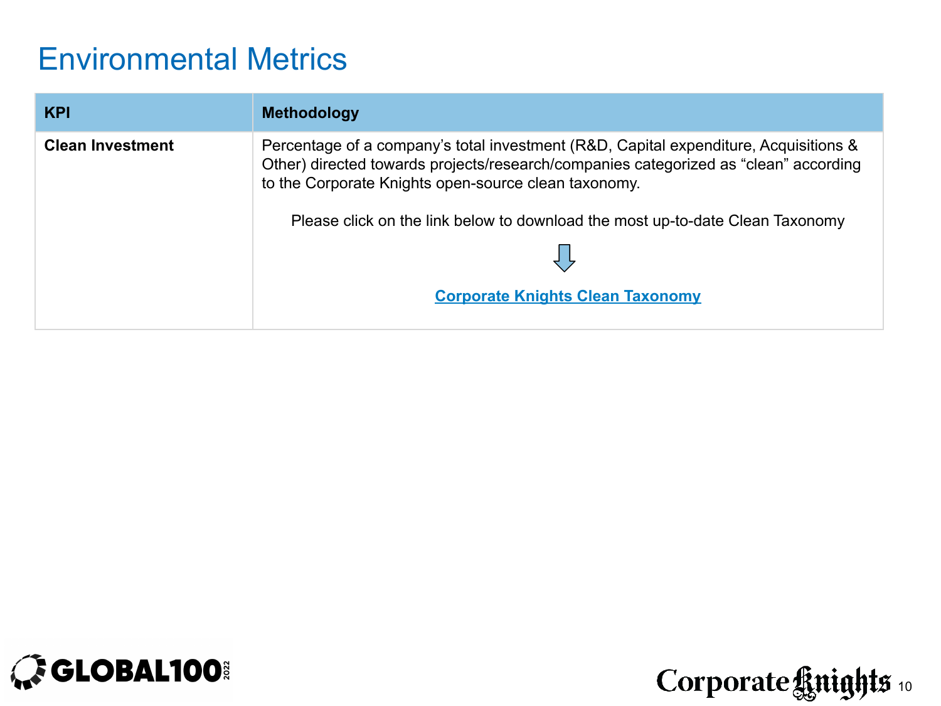### Environmental Metrics

| <b>Methodology</b>                                                                                                                                                                                                                   |  |
|--------------------------------------------------------------------------------------------------------------------------------------------------------------------------------------------------------------------------------------|--|
| Percentage of a company's total investment (R&D, Capital expenditure, Acquisitions &<br>Other) directed towards projects/research/companies categorized as "clean" according<br>to the Corporate Knights open-source clean taxonomy. |  |
| Please click on the link below to download the most up-to-date Clean Taxonomy                                                                                                                                                        |  |
|                                                                                                                                                                                                                                      |  |
| <b>Corporate Knights Clean Taxonomy</b>                                                                                                                                                                                              |  |
|                                                                                                                                                                                                                                      |  |



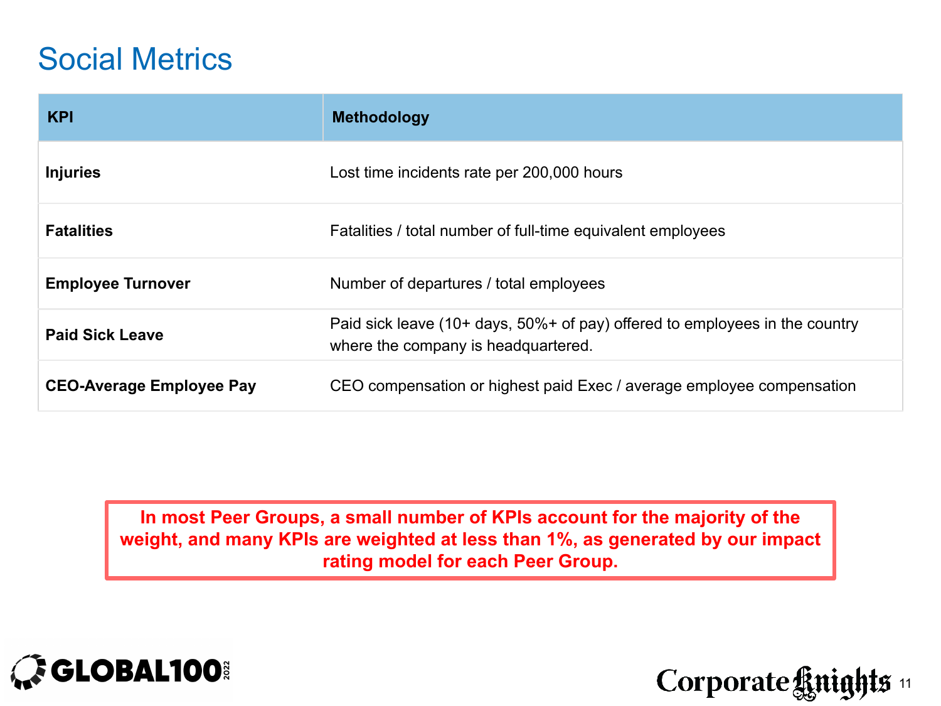#### Social Metrics

| <b>KPI</b>                      | <b>Methodology</b>                                                                                                 |
|---------------------------------|--------------------------------------------------------------------------------------------------------------------|
| <b>Injuries</b>                 | Lost time incidents rate per 200,000 hours                                                                         |
| <b>Fatalities</b>               | Fatalities / total number of full-time equivalent employees                                                        |
| <b>Employee Turnover</b>        | Number of departures / total employees                                                                             |
| <b>Paid Sick Leave</b>          | Paid sick leave (10+ days, 50%+ of pay) offered to employees in the country<br>where the company is headquartered. |
| <b>CEO-Average Employee Pay</b> | CEO compensation or highest paid Exec / average employee compensation                                              |

**In most Peer Groups, a small number of KPIs account for the majority of the weight, and many KPIs are weighted at less than 1%, as generated by our impact rating model for each Peer Group.**



Corporate Linights 11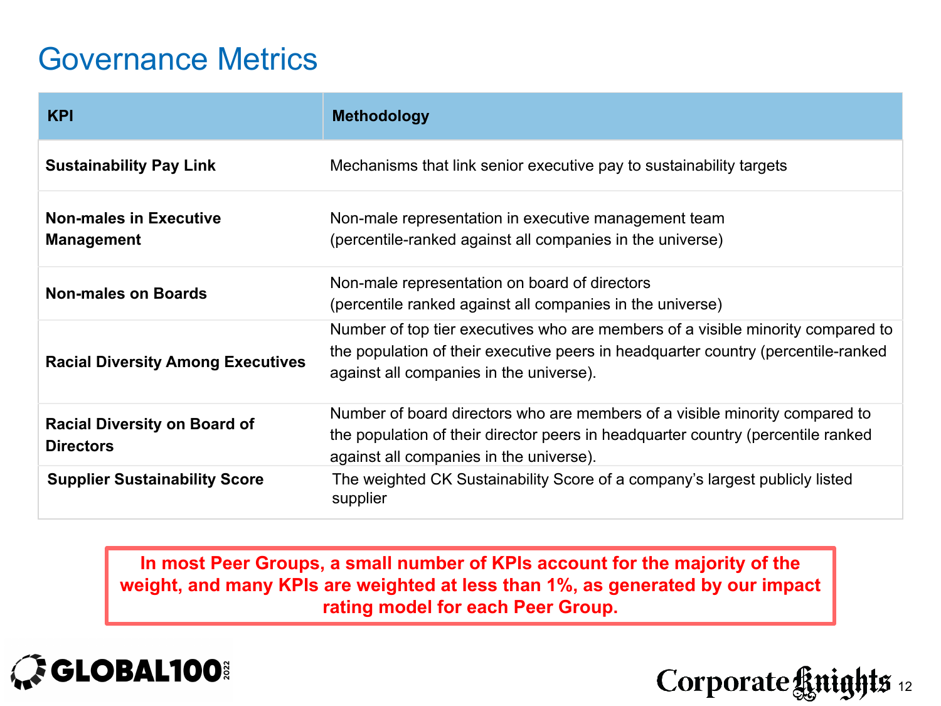#### Governance Metrics

| <b>KPI</b>                                              | <b>Methodology</b>                                                                                                                                                                                              |
|---------------------------------------------------------|-----------------------------------------------------------------------------------------------------------------------------------------------------------------------------------------------------------------|
| <b>Sustainability Pay Link</b>                          | Mechanisms that link senior executive pay to sustainability targets                                                                                                                                             |
| <b>Non-males in Executive</b><br><b>Management</b>      | Non-male representation in executive management team<br>(percentile-ranked against all companies in the universe)                                                                                               |
| <b>Non-males on Boards</b>                              | Non-male representation on board of directors<br>(percentile ranked against all companies in the universe)                                                                                                      |
| <b>Racial Diversity Among Executives</b>                | Number of top tier executives who are members of a visible minority compared to<br>the population of their executive peers in headquarter country (percentile-ranked<br>against all companies in the universe). |
| <b>Racial Diversity on Board of</b><br><b>Directors</b> | Number of board directors who are members of a visible minority compared to<br>the population of their director peers in headquarter country (percentile ranked<br>against all companies in the universe).      |
| <b>Supplier Sustainability Score</b>                    | The weighted CK Sustainability Score of a company's largest publicly listed<br>supplier                                                                                                                         |

**In most Peer Groups, a small number of KPIs account for the majority of the weight, and many KPIs are weighted at less than 1%, as generated by our impact rating model for each Peer Group.**



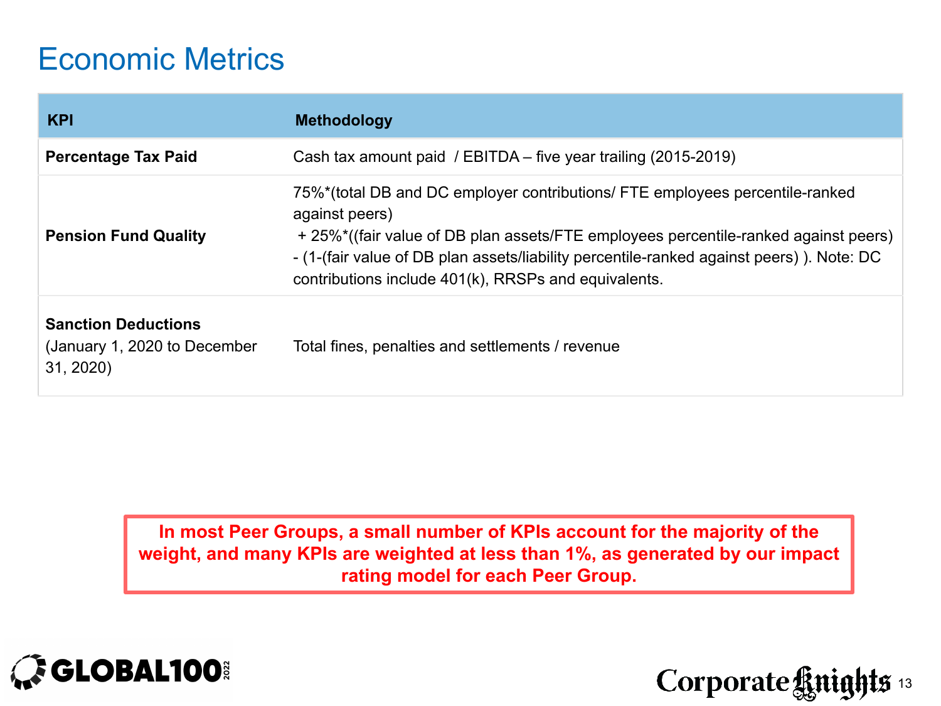### Economic Metrics

| <b>KPI</b>                                                              | <b>Methodology</b>                                                                                                                                                                                                                                                                                                                        |
|-------------------------------------------------------------------------|-------------------------------------------------------------------------------------------------------------------------------------------------------------------------------------------------------------------------------------------------------------------------------------------------------------------------------------------|
| <b>Percentage Tax Paid</b>                                              | Cash tax amount paid / EBITDA – five year trailing (2015-2019)                                                                                                                                                                                                                                                                            |
| <b>Pension Fund Quality</b>                                             | 75%*(total DB and DC employer contributions/ FTE employees percentile-ranked<br>against peers)<br>+ 25%*((fair value of DB plan assets/FTE employees percentile-ranked against peers)<br>- (1-(fair value of DB plan assets/liability percentile-ranked against peers)). Note: DC<br>contributions include 401(k), RRSPs and equivalents. |
| <b>Sanction Deductions</b><br>(January 1, 2020 to December<br>31, 2020) | Total fines, penalties and settlements / revenue                                                                                                                                                                                                                                                                                          |

**In most Peer Groups, a small number of KPIs account for the majority of the weight, and many KPIs are weighted at less than 1%, as generated by our impact rating model for each Peer Group.**



Corporate ginigh  $2513$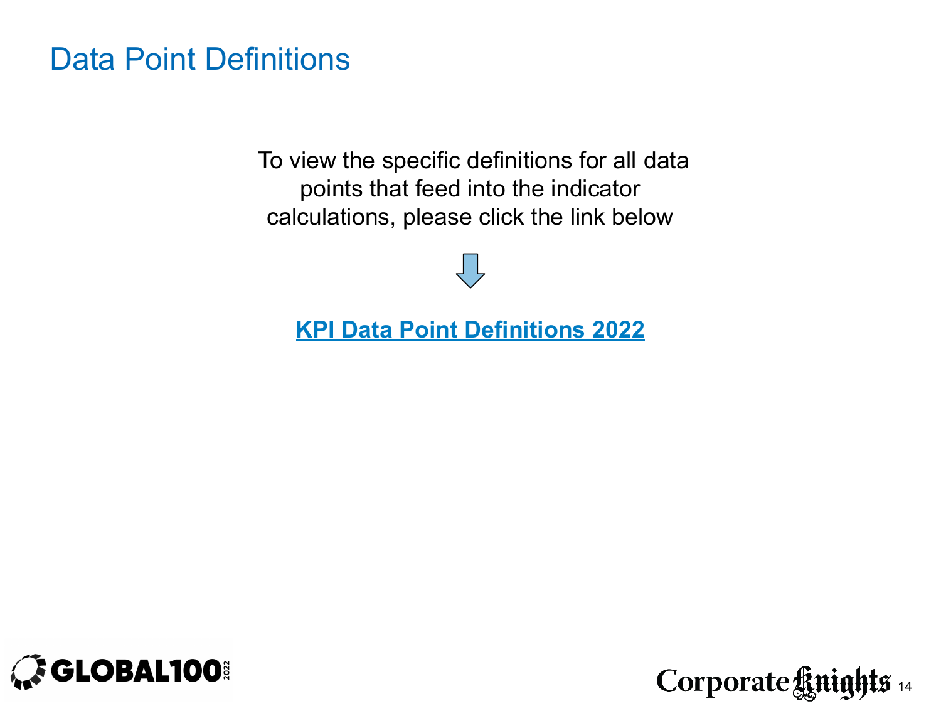#### Data Point Definitions

To view the specific definitions for all data points that feed into the indicator calculations, please click the link below

#### **[KPI Data Point Definitions 2022](https://www.corporateknights.com/wp-content/uploads/2021/11/2022-Corporate-Knights-Ranking-KPI-Data-Point-Definitions.pdf)**



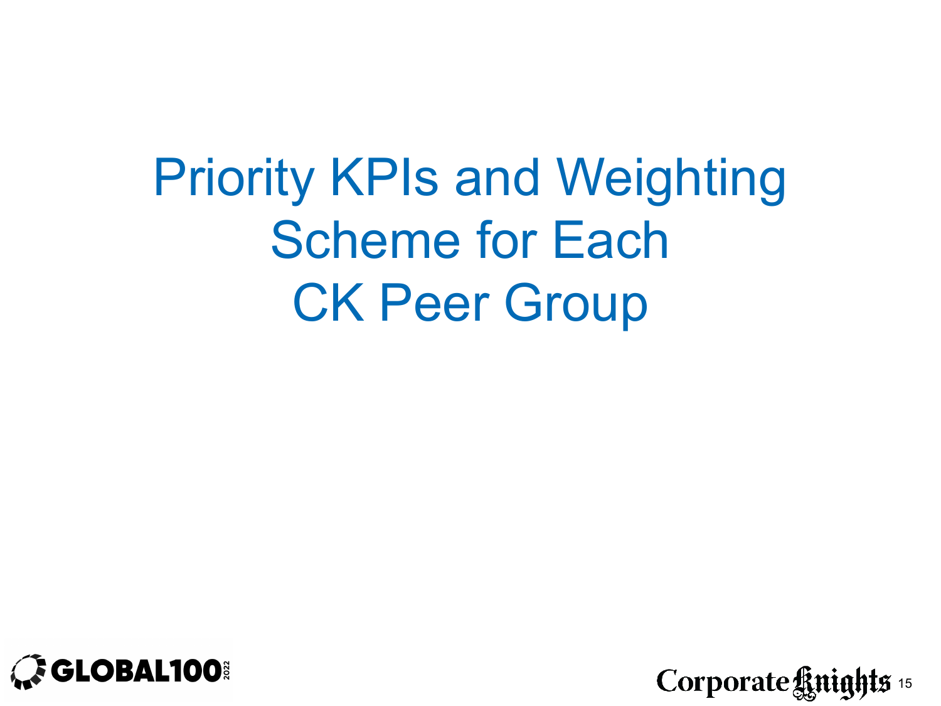# Priority KPIs and Weighting Scheme for Each CK Peer Group



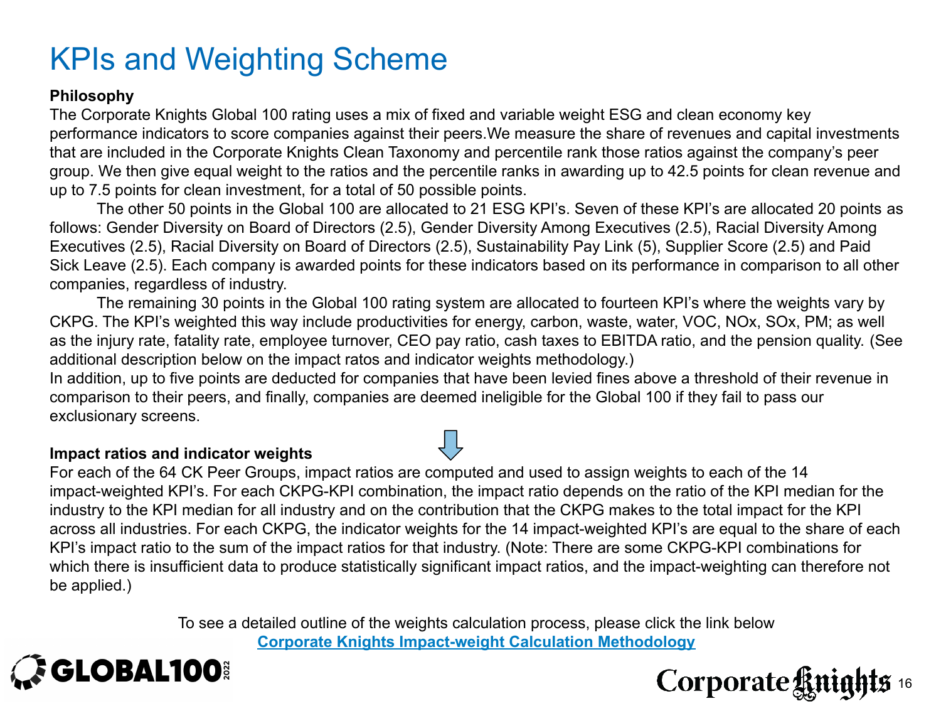### KPIs and Weighting Scheme

#### **Philosophy**

The Corporate Knights Global 100 rating uses a mix of fixed and variable weight ESG and clean economy key performance indicators to score companies against their peers.We measure the share of revenues and capital investments that are included in the Corporate Knights Clean Taxonomy and percentile rank those ratios against the company's peer group. We then give equal weight to the ratios and the percentile ranks in awarding up to 42.5 points for clean revenue and up to 7.5 points for clean investment, for a total of 50 possible points.

The other 50 points in the Global 100 are allocated to 21 ESG KPI's. Seven of these KPI's are allocated 20 points as follows: Gender Diversity on Board of Directors (2.5), Gender Diversity Among Executives (2.5), Racial Diversity Among Executives (2.5), Racial Diversity on Board of Directors (2.5), Sustainability Pay Link (5), Supplier Score (2.5) and Paid Sick Leave (2.5). Each company is awarded points for these indicators based on its performance in comparison to all other companies, regardless of industry.

The remaining 30 points in the Global 100 rating system are allocated to fourteen KPI's where the weights vary by CKPG. The KPI's weighted this way include productivities for energy, carbon, waste, water, VOC, NOx, SOx, PM; as well as the injury rate, fatality rate, employee turnover, CEO pay ratio, cash taxes to EBITDA ratio, and the pension quality. (See additional description below on the impact ratos and indicator weights methodology.)

In addition, up to five points are deducted for companies that have been levied fines above a threshold of their revenue in comparison to their peers, and finally, companies are deemed ineligible for the Global 100 if they fail to pass our exclusionary screens.

#### **Impact ratios and indicator weights**

For each of the 64 CK Peer Groups, impact ratios are computed and used to assign weights to each of the 14 impact-weighted KPI's. For each CKPG-KPI combination, the impact ratio depends on the ratio of the KPI median for the industry to the KPI median for all industry and on the contribution that the CKPG makes to the total impact for the KPI across all industries. For each CKPG, the indicator weights for the 14 impact-weighted KPI's are equal to the share of each KPI's impact ratio to the sum of the impact ratios for that industry. (Note: There are some CKPG-KPI combinations for which there is insufficient data to produce statistically significant impact ratios, and the impact-weighting can therefore not be applied.)

> To see a detailed outline of the weights calculation process, please click the link below **[Corporate Knights Impact-weight Calculation Methodology](https://www.corporateknights.com/wp-content/uploads/2021/11/2021-2023-Corporate-Knights-Impact-Weight-Calculation-Methodology-.pdf)**



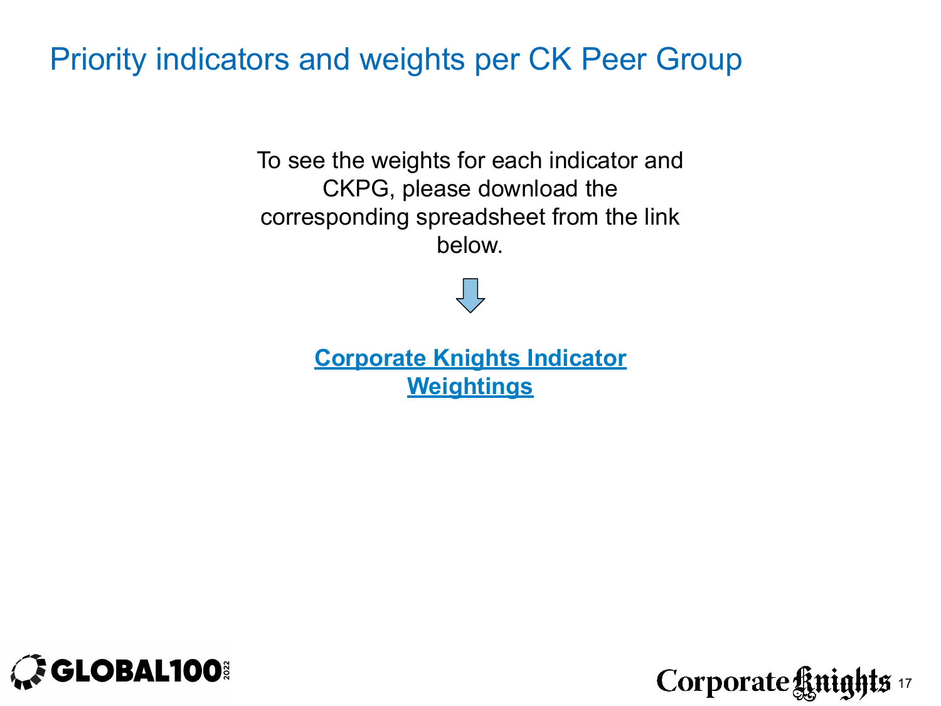### Priority indicators and weights per CK Peer Group

To see the weights for each indicator and CKPG, please download the corresponding spreadsheet from the link below.

> **[Corporate Knights Indicator](https://www.corporateknights.com/wp-content/uploads/2021/12/2022-Corporate-Knights-Final-Indicator-Weightings.xlsx) [Weightings](https://www.corporateknights.com/wp-content/uploads/2021/12/2022-Corporate-Knights-Final-Indicator-Weightings.xlsx)**



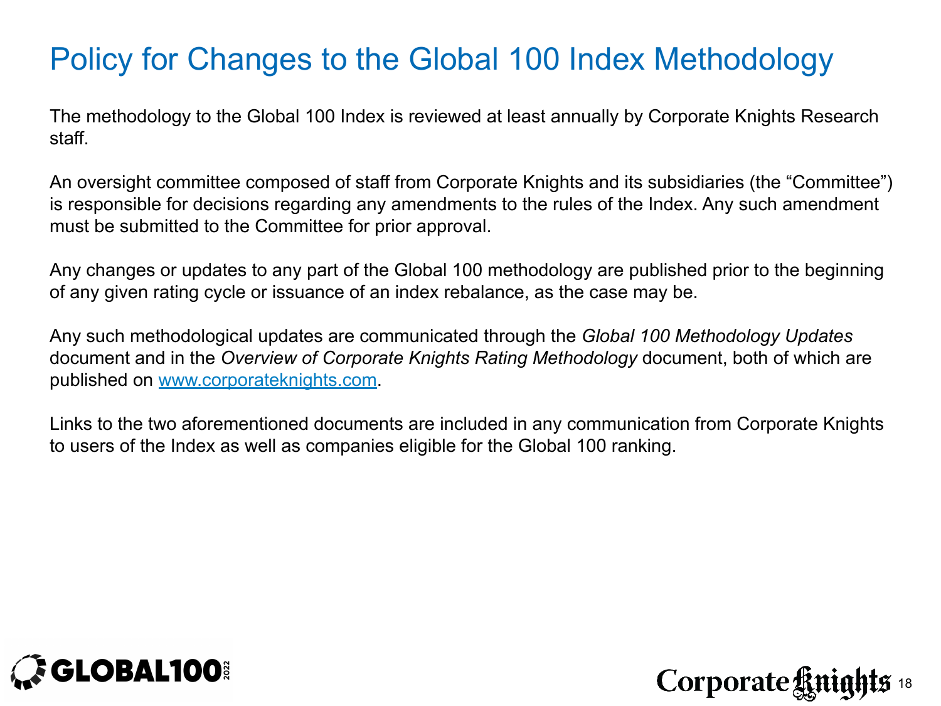### Policy for Changes to the Global 100 Index Methodology

The methodology to the Global 100 Index is reviewed at least annually by Corporate Knights Research staff.

An oversight committee composed of staff from Corporate Knights and its subsidiaries (the "Committee") is responsible for decisions regarding any amendments to the rules of the Index. Any such amendment must be submitted to the Committee for prior approval.

Any changes or updates to any part of the Global 100 methodology are published prior to the beginning of any given rating cycle or issuance of an index rebalance, as the case may be.

Any such methodological updates are communicated through the *Global 100 Methodology Updates* document and in the *Overview of Corporate Knights Rating Methodology* document, both of which are published on [www.corporateknights.com](http://www.corporateknights.com).

Links to the two aforementioned documents are included in any communication from Corporate Knights to users of the Index as well as companies eligible for the Global 100 ranking.



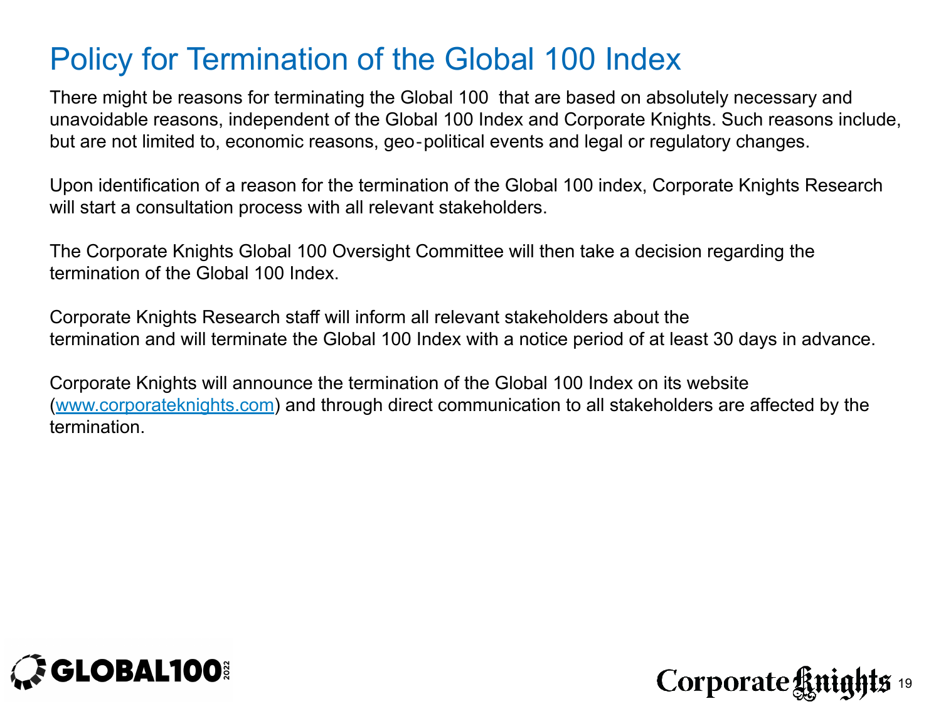### Policy for Termination of the Global 100 Index

There might be reasons for terminating the Global 100 that are based on absolutely necessary and unavoidable reasons, independent of the Global 100 Index and Corporate Knights. Such reasons include, but are not limited to, economic reasons, geo‐political events and legal or regulatory changes.

Upon identification of a reason for the termination of the Global 100 index, Corporate Knights Research will start a consultation process with all relevant stakeholders.

The Corporate Knights Global 100 Oversight Committee will then take a decision regarding the termination of the Global 100 Index.

Corporate Knights Research staff will inform all relevant stakeholders about the termination and will terminate the Global 100 Index with a notice period of at least 30 days in advance.

Corporate Knights will announce the termination of the Global 100 Index on its website ([www.corporateknights.com\)](http://www.corporateknights.com) and through direct communication to all stakeholders are affected by the termination.



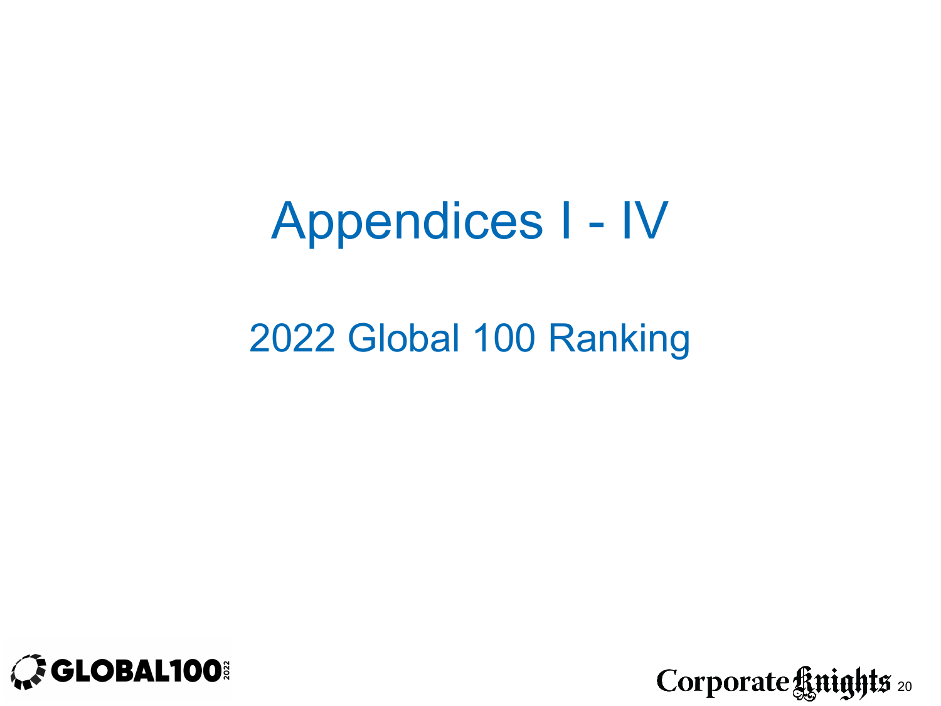# Appendices I - IV

# 2022 Global 100 Ranking



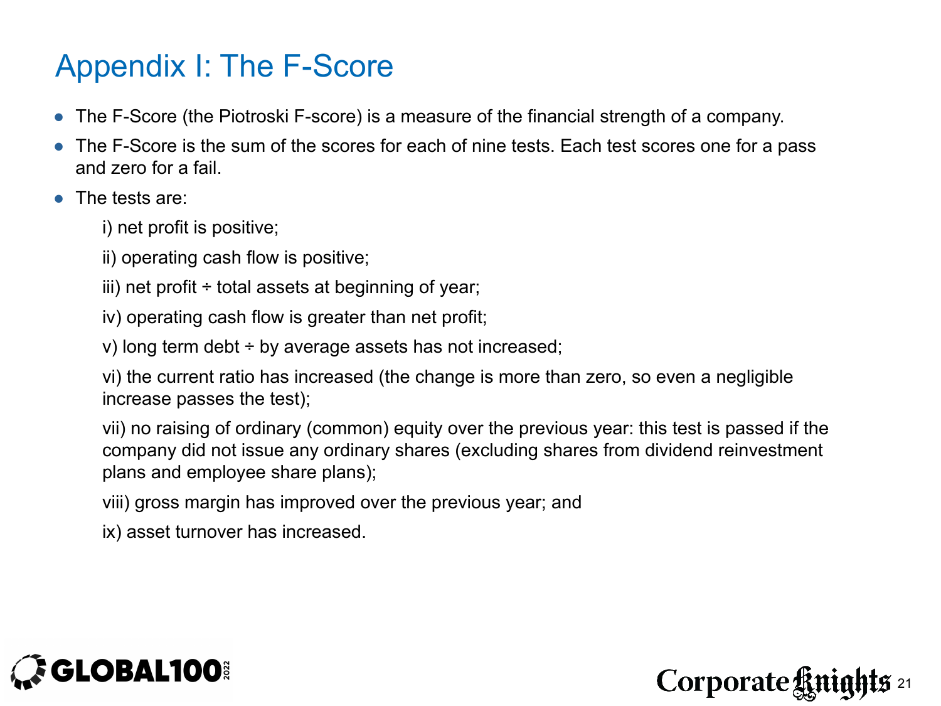### Appendix I: The F-Score

- The F-Score (the Piotroski F-score) is a measure of the financial strength of a company.
- The F-Score is the sum of the scores for each of nine tests. Each test scores one for a pass and zero for a fail.
- The tests are:
	- i) net profit is positive;
	- ii) operating cash flow is positive;
	- iii) net profit  $\div$  total assets at beginning of year;
	- iv) operating cash flow is greater than net profit;
	- v) long term debt ÷ by average assets has not increased;
	- vi) the current ratio has increased (the change is more than zero, so even a negligible increase passes the test);
	- vii) no raising of ordinary (common) equity over the previous year: this test is passed if the company did not issue any ordinary shares (excluding shares from dividend reinvestment plans and employee share plans);
	- viii) gross margin has improved over the previous year; and
	- ix) asset turnover has increased.



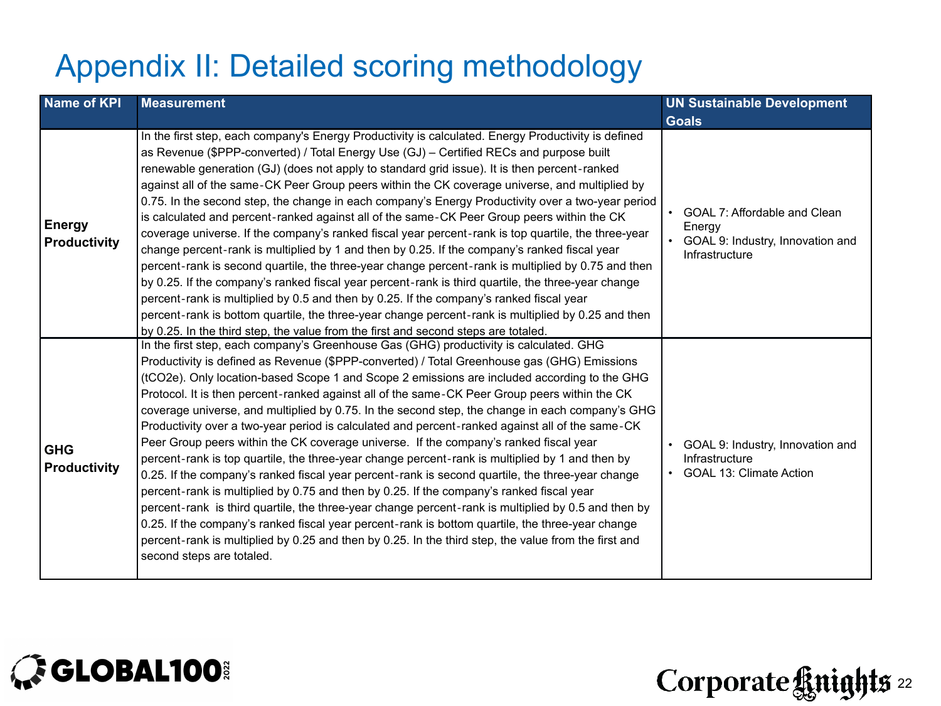| <b>Name of KPI</b>                   | <b>Measurement</b>                                                                                                                                                                                                                                                                                                                                                                                                                                                                                                                                                                                                                                                                                                                                                                                                                                                                                                                                                                                                                                                                                                                                                                                                                                                                                                                       | <b>UN Sustainable Development</b>                                                            |
|--------------------------------------|------------------------------------------------------------------------------------------------------------------------------------------------------------------------------------------------------------------------------------------------------------------------------------------------------------------------------------------------------------------------------------------------------------------------------------------------------------------------------------------------------------------------------------------------------------------------------------------------------------------------------------------------------------------------------------------------------------------------------------------------------------------------------------------------------------------------------------------------------------------------------------------------------------------------------------------------------------------------------------------------------------------------------------------------------------------------------------------------------------------------------------------------------------------------------------------------------------------------------------------------------------------------------------------------------------------------------------------|----------------------------------------------------------------------------------------------|
|                                      |                                                                                                                                                                                                                                                                                                                                                                                                                                                                                                                                                                                                                                                                                                                                                                                                                                                                                                                                                                                                                                                                                                                                                                                                                                                                                                                                          | <b>Goals</b>                                                                                 |
| <b>Energy</b><br><b>Productivity</b> | In the first step, each company's Energy Productivity is calculated. Energy Productivity is defined<br>as Revenue (\$PPP-converted) / Total Energy Use (GJ) - Certified RECs and purpose built<br>renewable generation (GJ) (does not apply to standard grid issue). It is then percent-ranked<br>against all of the same-CK Peer Group peers within the CK coverage universe, and multiplied by<br>0.75. In the second step, the change in each company's Energy Productivity over a two-year period<br>is calculated and percent-ranked against all of the same-CK Peer Group peers within the CK<br>coverage universe. If the company's ranked fiscal year percent-rank is top quartile, the three-year<br>change percent-rank is multiplied by 1 and then by 0.25. If the company's ranked fiscal year<br>percent-rank is second quartile, the three-year change percent-rank is multiplied by 0.75 and then<br>by 0.25. If the company's ranked fiscal year percent-rank is third quartile, the three-year change<br>percent-rank is multiplied by 0.5 and then by 0.25. If the company's ranked fiscal year<br>percent-rank is bottom quartile, the three-year change percent-rank is multiplied by 0.25 and then<br>by 0.25. In the third step, the value from the first and second steps are totaled.                            | GOAL 7: Affordable and Clean<br>Energy<br>GOAL 9: Industry, Innovation and<br>Infrastructure |
| l GHG<br><b>Productivity</b>         | In the first step, each company's Greenhouse Gas (GHG) productivity is calculated. GHG<br>Productivity is defined as Revenue (\$PPP-converted) / Total Greenhouse gas (GHG) Emissions<br>(tCO2e). Only location-based Scope 1 and Scope 2 emissions are included according to the GHG<br>Protocol. It is then percent-ranked against all of the same-CK Peer Group peers within the CK<br>coverage universe, and multiplied by 0.75. In the second step, the change in each company's GHG<br>Productivity over a two-year period is calculated and percent-ranked against all of the same-CK<br>Peer Group peers within the CK coverage universe. If the company's ranked fiscal year<br>percent-rank is top quartile, the three-year change percent-rank is multiplied by 1 and then by<br>0.25. If the company's ranked fiscal year percent-rank is second quartile, the three-year change<br>percent-rank is multiplied by 0.75 and then by 0.25. If the company's ranked fiscal year<br>percent-rank is third quartile, the three-year change percent-rank is multiplied by 0.5 and then by<br>0.25. If the company's ranked fiscal year percent-rank is bottom quartile, the three-year change<br>percent-rank is multiplied by 0.25 and then by 0.25. In the third step, the value from the first and<br>second steps are totaled. | GOAL 9: Industry, Innovation and<br>Infrastructure<br>• GOAL 13: Climate Action              |



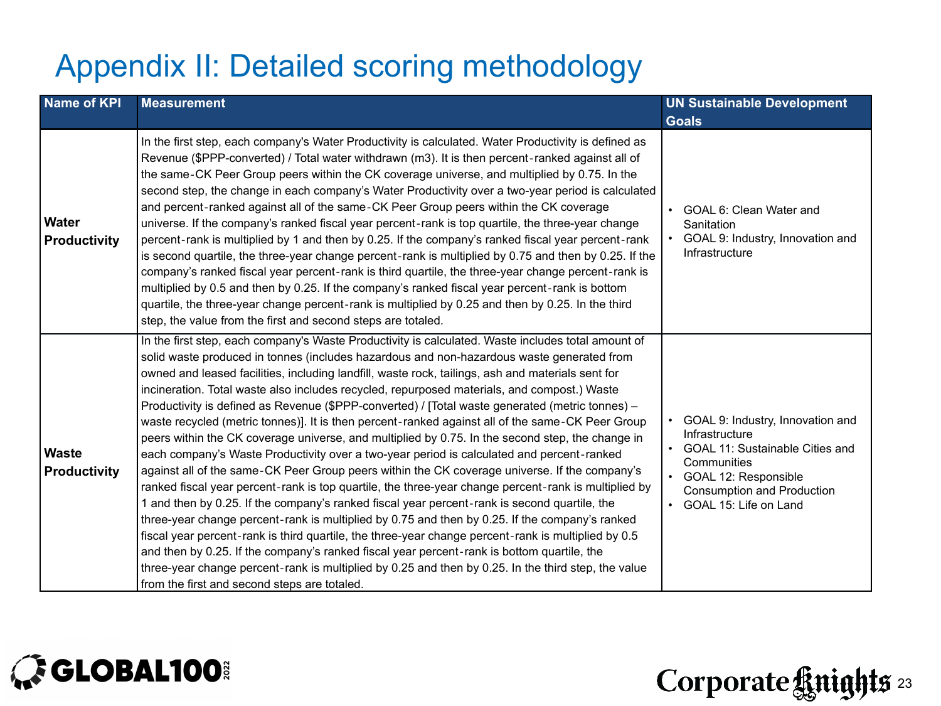| <b>Name of KPI</b>                  | <b>Measurement</b>                                                                                                                                                                                                                                                                                                                                                                                                                                                                                                                                                                                                                                                                                                                                                                                                                                                                                                                                                                                                                                                                                                                                                                                                                                                                                                                                                                                                                                                                                                                                                                 | <b>UN Sustainable Development</b>                                                                                                                                                          |
|-------------------------------------|------------------------------------------------------------------------------------------------------------------------------------------------------------------------------------------------------------------------------------------------------------------------------------------------------------------------------------------------------------------------------------------------------------------------------------------------------------------------------------------------------------------------------------------------------------------------------------------------------------------------------------------------------------------------------------------------------------------------------------------------------------------------------------------------------------------------------------------------------------------------------------------------------------------------------------------------------------------------------------------------------------------------------------------------------------------------------------------------------------------------------------------------------------------------------------------------------------------------------------------------------------------------------------------------------------------------------------------------------------------------------------------------------------------------------------------------------------------------------------------------------------------------------------------------------------------------------------|--------------------------------------------------------------------------------------------------------------------------------------------------------------------------------------------|
|                                     |                                                                                                                                                                                                                                                                                                                                                                                                                                                                                                                                                                                                                                                                                                                                                                                                                                                                                                                                                                                                                                                                                                                                                                                                                                                                                                                                                                                                                                                                                                                                                                                    | <b>Goals</b>                                                                                                                                                                               |
| Water<br><b>Productivity</b>        | In the first step, each company's Water Productivity is calculated. Water Productivity is defined as<br>Revenue (\$PPP-converted) / Total water withdrawn (m3). It is then percent-ranked against all of<br>the same-CK Peer Group peers within the CK coverage universe, and multiplied by 0.75. In the<br>second step, the change in each company's Water Productivity over a two-year period is calculated<br>and percent-ranked against all of the same-CK Peer Group peers within the CK coverage<br>universe. If the company's ranked fiscal year percent-rank is top quartile, the three-year change<br>percent-rank is multiplied by 1 and then by 0.25. If the company's ranked fiscal year percent-rank<br>is second quartile, the three-year change percent-rank is multiplied by 0.75 and then by 0.25. If the<br>company's ranked fiscal year percent-rank is third quartile, the three-year change percent-rank is<br>multiplied by 0.5 and then by 0.25. If the company's ranked fiscal year percent-rank is bottom<br>quartile, the three-year change percent-rank is multiplied by 0.25 and then by 0.25. In the third<br>step, the value from the first and second steps are totaled.                                                                                                                                                                                                                                                                                                                                                                            | GOAL 6: Clean Water and<br>Sanitation<br>GOAL 9: Industry, Innovation and<br>Infrastructure                                                                                                |
| <b>Waste</b><br><b>Productivity</b> | In the first step, each company's Waste Productivity is calculated. Waste includes total amount of<br>solid waste produced in tonnes (includes hazardous and non-hazardous waste generated from<br>owned and leased facilities, including landfill, waste rock, tailings, ash and materials sent for<br>incineration. Total waste also includes recycled, repurposed materials, and compost.) Waste<br>Productivity is defined as Revenue (\$PPP-converted) / [Total waste generated (metric tonnes) -<br>waste recycled (metric tonnes)]. It is then percent-ranked against all of the same-CK Peer Group<br>peers within the CK coverage universe, and multiplied by 0.75. In the second step, the change in<br>each company's Waste Productivity over a two-year period is calculated and percent-ranked<br>against all of the same-CK Peer Group peers within the CK coverage universe. If the company's<br>ranked fiscal year percent-rank is top quartile, the three-year change percent-rank is multiplied by<br>1 and then by 0.25. If the company's ranked fiscal year percent-rank is second quartile, the<br>three-year change percent-rank is multiplied by 0.75 and then by 0.25. If the company's ranked<br>fiscal year percent-rank is third quartile, the three-year change percent-rank is multiplied by 0.5<br>and then by 0.25. If the company's ranked fiscal year percent-rank is bottom quartile, the<br>three-year change percent-rank is multiplied by 0.25 and then by 0.25. In the third step, the value<br>from the first and second steps are totaled. | GOAL 9: Industry, Innovation and<br>Infrastructure<br>GOAL 11: Sustainable Cities and<br>Communities<br>GOAL 12: Responsible<br><b>Consumption and Production</b><br>GOAL 15: Life on Land |



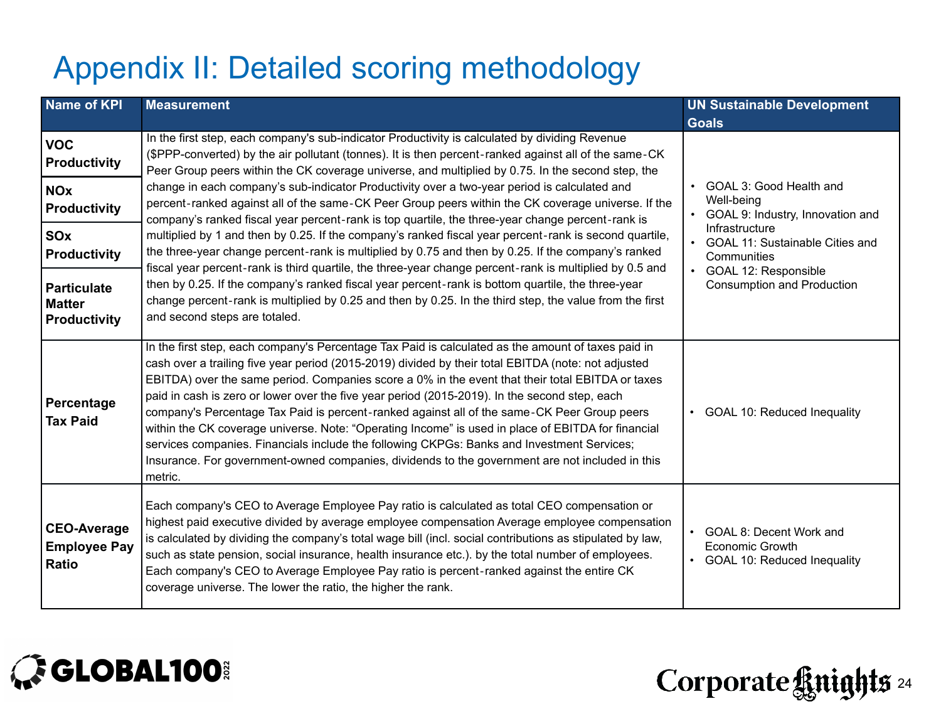| Name of KPI                                        | <b>Measurement</b>                                                                                                                                                                                                                                                                                                                                                                                                                                                                                                                                                                                                                                                                                                                                                                                                              | <b>UN Sustainable Development</b>                                                                                                                                                                            |
|----------------------------------------------------|---------------------------------------------------------------------------------------------------------------------------------------------------------------------------------------------------------------------------------------------------------------------------------------------------------------------------------------------------------------------------------------------------------------------------------------------------------------------------------------------------------------------------------------------------------------------------------------------------------------------------------------------------------------------------------------------------------------------------------------------------------------------------------------------------------------------------------|--------------------------------------------------------------------------------------------------------------------------------------------------------------------------------------------------------------|
|                                                    |                                                                                                                                                                                                                                                                                                                                                                                                                                                                                                                                                                                                                                                                                                                                                                                                                                 | <b>Goals</b>                                                                                                                                                                                                 |
| <b>VOC</b><br>Productivity                         | In the first step, each company's sub-indicator Productivity is calculated by dividing Revenue<br>(\$PPP-converted) by the air pollutant (tonnes). It is then percent-ranked against all of the same-CK<br>Peer Group peers within the CK coverage universe, and multiplied by 0.75. In the second step, the                                                                                                                                                                                                                                                                                                                                                                                                                                                                                                                    | GOAL 3: Good Health and<br>Well-being<br>GOAL 9: Industry, Innovation and<br>Infrastructure<br><b>GOAL 11: Sustainable Cities and</b><br>Communities<br>• GOAL 12: Responsible<br>Consumption and Production |
| <b>NOx</b><br>Productivity                         | change in each company's sub-indicator Productivity over a two-year period is calculated and<br>percent-ranked against all of the same-CK Peer Group peers within the CK coverage universe. If the<br>company's ranked fiscal year percent-rank is top quartile, the three-year change percent-rank is                                                                                                                                                                                                                                                                                                                                                                                                                                                                                                                          |                                                                                                                                                                                                              |
| <b>SOx</b><br><b>Productivity</b>                  | multiplied by 1 and then by 0.25. If the company's ranked fiscal year percent-rank is second quartile,<br>the three-year change percent-rank is multiplied by 0.75 and then by 0.25. If the company's ranked<br>fiscal year percent-rank is third quartile, the three-year change percent-rank is multiplied by 0.5 and<br>then by 0.25. If the company's ranked fiscal year percent-rank is bottom quartile, the three-year<br>change percent-rank is multiplied by 0.25 and then by 0.25. In the third step, the value from the first<br>and second steps are totaled.                                                                                                                                                                                                                                                        |                                                                                                                                                                                                              |
| Particulate<br><b>Matter</b><br>Productivity       |                                                                                                                                                                                                                                                                                                                                                                                                                                                                                                                                                                                                                                                                                                                                                                                                                                 |                                                                                                                                                                                                              |
| Percentage<br><b>Tax Paid</b>                      | In the first step, each company's Percentage Tax Paid is calculated as the amount of taxes paid in<br>cash over a trailing five year period (2015-2019) divided by their total EBITDA (note: not adjusted<br>EBITDA) over the same period. Companies score a 0% in the event that their total EBITDA or taxes<br>paid in cash is zero or lower over the five year period (2015-2019). In the second step, each<br>company's Percentage Tax Paid is percent-ranked against all of the same-CK Peer Group peers<br>within the CK coverage universe. Note: "Operating Income" is used in place of EBITDA for financial<br>services companies. Financials include the following CKPGs: Banks and Investment Services;<br>Insurance. For government-owned companies, dividends to the government are not included in this<br>metric. | • GOAL 10: Reduced Inequality                                                                                                                                                                                |
| <b>CEO-Average</b><br><b>Employee Pay</b><br>Ratio | Each company's CEO to Average Employee Pay ratio is calculated as total CEO compensation or<br>highest paid executive divided by average employee compensation Average employee compensation<br>is calculated by dividing the company's total wage bill (incl. social contributions as stipulated by law,<br>such as state pension, social insurance, health insurance etc.). by the total number of employees.<br>Each company's CEO to Average Employee Pay ratio is percent-ranked against the entire CK<br>coverage universe. The lower the ratio, the higher the rank.                                                                                                                                                                                                                                                     | GOAL 8: Decent Work and<br><b>Economic Growth</b><br>GOAL 10: Reduced Inequality                                                                                                                             |

### **GLOBAL100**

# Corporate Linights<sup>24</sup>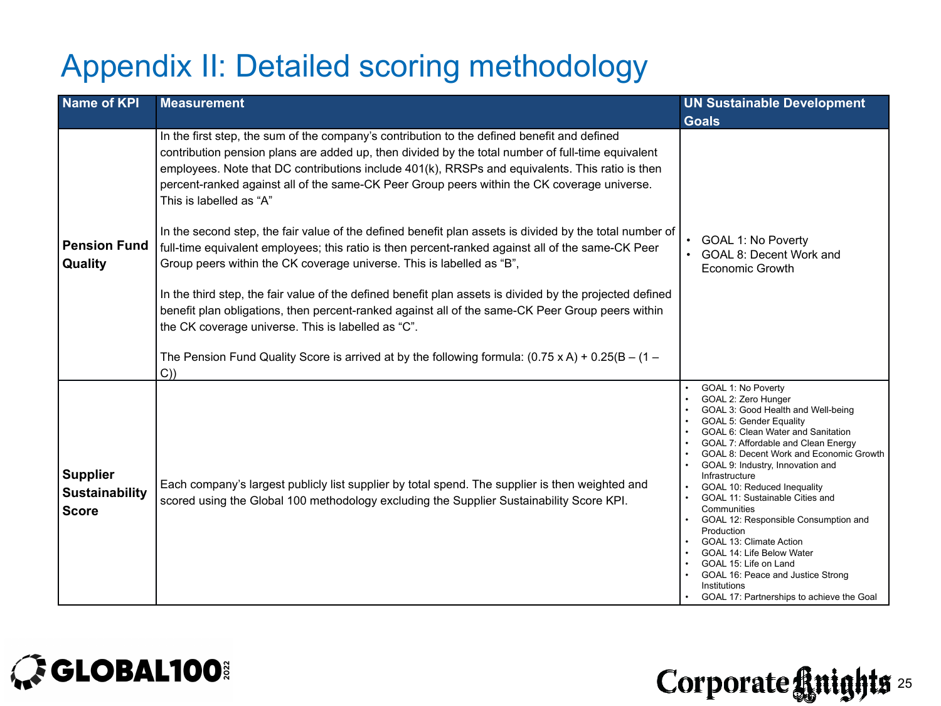| Name of KPI                                              | <b>Measurement</b>                                                                                                                                                                                                                                                                                                                                                                                                            | <b>UN Sustainable Development</b>                                                                                                                                                                                                                                                                                                                                                                                                                                                                                                                                                                                  |
|----------------------------------------------------------|-------------------------------------------------------------------------------------------------------------------------------------------------------------------------------------------------------------------------------------------------------------------------------------------------------------------------------------------------------------------------------------------------------------------------------|--------------------------------------------------------------------------------------------------------------------------------------------------------------------------------------------------------------------------------------------------------------------------------------------------------------------------------------------------------------------------------------------------------------------------------------------------------------------------------------------------------------------------------------------------------------------------------------------------------------------|
|                                                          |                                                                                                                                                                                                                                                                                                                                                                                                                               | <b>Goals</b>                                                                                                                                                                                                                                                                                                                                                                                                                                                                                                                                                                                                       |
|                                                          | In the first step, the sum of the company's contribution to the defined benefit and defined<br>contribution pension plans are added up, then divided by the total number of full-time equivalent<br>employees. Note that DC contributions include 401(k), RRSPs and equivalents. This ratio is then<br>percent-ranked against all of the same-CK Peer Group peers within the CK coverage universe.<br>This is labelled as "A" |                                                                                                                                                                                                                                                                                                                                                                                                                                                                                                                                                                                                                    |
| <b>Pension Fund</b><br>Quality                           | In the second step, the fair value of the defined benefit plan assets is divided by the total number of<br>full-time equivalent employees; this ratio is then percent-ranked against all of the same-CK Peer<br>Group peers within the CK coverage universe. This is labelled as "B",                                                                                                                                         | <b>GOAL 1: No Poverty</b><br>GOAL 8: Decent Work and<br>Economic Growth                                                                                                                                                                                                                                                                                                                                                                                                                                                                                                                                            |
|                                                          | In the third step, the fair value of the defined benefit plan assets is divided by the projected defined<br>benefit plan obligations, then percent-ranked against all of the same-CK Peer Group peers within<br>the CK coverage universe. This is labelled as "C".                                                                                                                                                            |                                                                                                                                                                                                                                                                                                                                                                                                                                                                                                                                                                                                                    |
|                                                          | The Pension Fund Quality Score is arrived at by the following formula: $(0.75 \times A) + 0.25(B - (1 -$<br>C)                                                                                                                                                                                                                                                                                                                |                                                                                                                                                                                                                                                                                                                                                                                                                                                                                                                                                                                                                    |
| <b>Supplier</b><br><b>Sustainability</b><br><b>Score</b> | Each company's largest publicly list supplier by total spend. The supplier is then weighted and<br>scored using the Global 100 methodology excluding the Supplier Sustainability Score KPI.                                                                                                                                                                                                                                   | GOAL 1: No Poverty<br>GOAL 2: Zero Hunger<br>GOAL 3: Good Health and Well-being<br>GOAL 5: Gender Equality<br>GOAL 6: Clean Water and Sanitation<br>GOAL 7: Affordable and Clean Energy<br>GOAL 8: Decent Work and Economic Growth<br>GOAL 9: Industry, Innovation and<br>Infrastructure<br>GOAL 10: Reduced Inequality<br>GOAL 11: Sustainable Cities and<br>Communities<br>GOAL 12: Responsible Consumption and<br>Production<br>GOAL 13: Climate Action<br>GOAL 14: Life Below Water<br>GOAL 15: Life on Land<br>GOAL 16: Peace and Justice Strong<br>Institutions<br>GOAL 17: Partnerships to achieve the Goal |



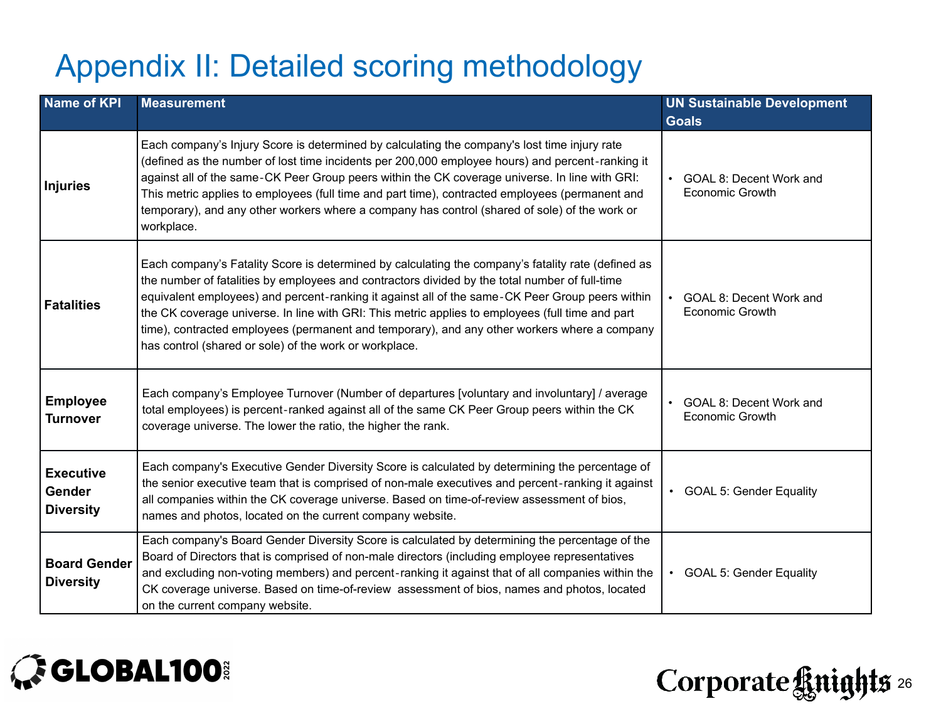| <b>Name of KPI</b>                             | <b>Measurement</b>                                                                                                                                                                                                                                                                                                                                                                                                                                                                                                                                                    | <b>UN Sustainable Development</b><br><b>Goals</b> |
|------------------------------------------------|-----------------------------------------------------------------------------------------------------------------------------------------------------------------------------------------------------------------------------------------------------------------------------------------------------------------------------------------------------------------------------------------------------------------------------------------------------------------------------------------------------------------------------------------------------------------------|---------------------------------------------------|
| Injuries                                       | Each company's Injury Score is determined by calculating the company's lost time injury rate<br>(defined as the number of lost time incidents per 200,000 employee hours) and percent-ranking it<br>against all of the same-CK Peer Group peers within the CK coverage universe. In line with GRI:<br>This metric applies to employees (full time and part time), contracted employees (permanent and<br>temporary), and any other workers where a company has control (shared of sole) of the work or<br>workplace.                                                  | GOAL 8: Decent Work and<br>Economic Growth        |
| <b>Fatalities</b>                              | Each company's Fatality Score is determined by calculating the company's fatality rate (defined as<br>the number of fatalities by employees and contractors divided by the total number of full-time<br>equivalent employees) and percent-ranking it against all of the same-CK Peer Group peers within<br>the CK coverage universe. In line with GRI: This metric applies to employees (full time and part<br>time), contracted employees (permanent and temporary), and any other workers where a company<br>has control (shared or sole) of the work or workplace. | GOAL 8: Decent Work and<br>Economic Growth        |
| <b>Employee</b><br><b>Turnover</b>             | Each company's Employee Turnover (Number of departures [voluntary and involuntary] / average<br>total employees) is percent-ranked against all of the same CK Peer Group peers within the CK<br>coverage universe. The lower the ratio, the higher the rank.                                                                                                                                                                                                                                                                                                          | GOAL 8: Decent Work and<br>Economic Growth        |
| <b>Executive</b><br>Gender<br><b>Diversity</b> | Each company's Executive Gender Diversity Score is calculated by determining the percentage of<br>the senior executive team that is comprised of non-male executives and percent-ranking it against<br>• GOAL 5: Gender Equality<br>all companies within the CK coverage universe. Based on time-of-review assessment of bios,<br>names and photos, located on the current company website.                                                                                                                                                                           |                                                   |
| <b>Board Gender</b><br><b>Diversity</b>        | Each company's Board Gender Diversity Score is calculated by determining the percentage of the<br>Board of Directors that is comprised of non-male directors (including employee representatives<br>and excluding non-voting members) and percent-ranking it against that of all companies within the<br>CK coverage universe. Based on time-of-review assessment of bios, names and photos, located<br>on the current company website.                                                                                                                               | • GOAL 5: Gender Equality                         |



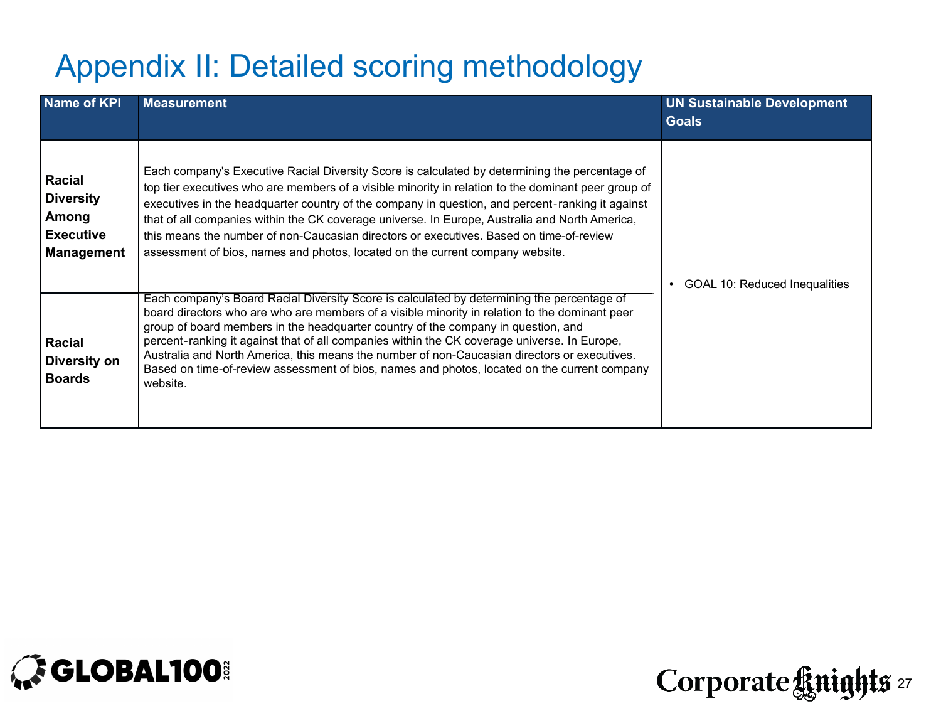| <b>Name of KPI</b>                                                           | <b>Measurement</b>                                                                                                                                                                                                                                                                                                                                                                                                                                                                                                                                                                            | <b>UN Sustainable Development</b><br><b>Goals</b> |
|------------------------------------------------------------------------------|-----------------------------------------------------------------------------------------------------------------------------------------------------------------------------------------------------------------------------------------------------------------------------------------------------------------------------------------------------------------------------------------------------------------------------------------------------------------------------------------------------------------------------------------------------------------------------------------------|---------------------------------------------------|
| Racial<br><b>Diversity</b><br>Among<br><b>Executive</b><br><b>Management</b> | Each company's Executive Racial Diversity Score is calculated by determining the percentage of<br>top tier executives who are members of a visible minority in relation to the dominant peer group of<br>executives in the headquarter country of the company in question, and percent-ranking it against<br>that of all companies within the CK coverage universe. In Europe, Australia and North America,<br>this means the number of non-Caucasian directors or executives. Based on time-of-review<br>assessment of bios, names and photos, located on the current company website.       | • GOAL 10: Reduced Inequalities                   |
| Racial<br>Diversity on<br><b>Boards</b>                                      | Each company's Board Racial Diversity Score is calculated by determining the percentage of<br>board directors who are who are members of a visible minority in relation to the dominant peer<br>group of board members in the headquarter country of the company in question, and<br>percent-ranking it against that of all companies within the CK coverage universe. In Europe,<br>Australia and North America, this means the number of non-Caucasian directors or executives.<br>Based on time-of-review assessment of bios, names and photos, located on the current company<br>website. |                                                   |



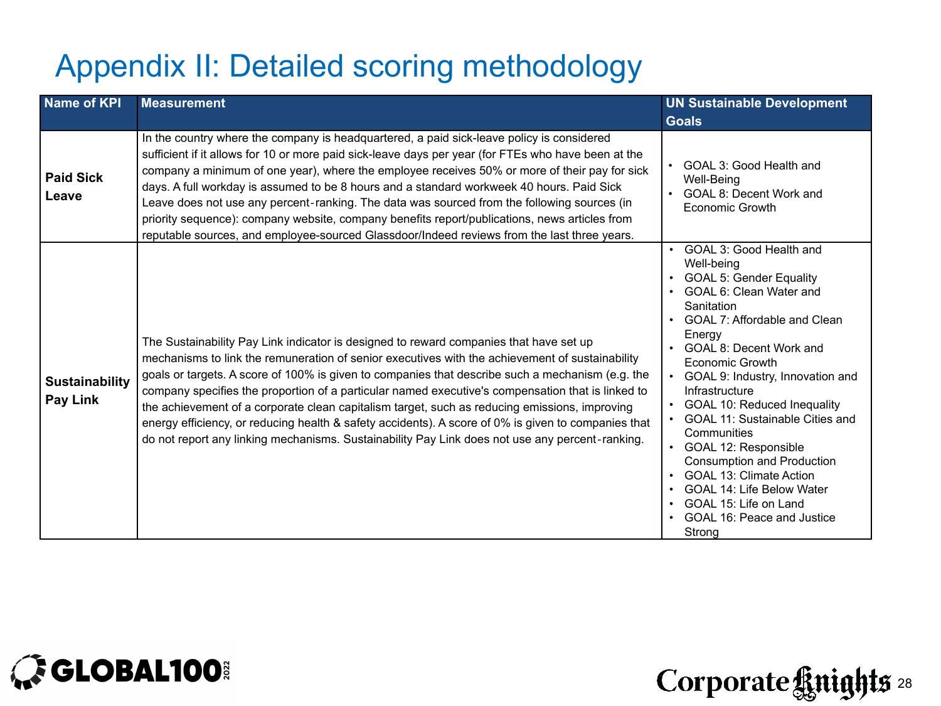| <b>Name of KPI</b>         | <b>Measurement</b>                                                                                                                                                                                                                                                                                                                                                                                                                                                                                                                                                                                                                                                                                            | <b>UN Sustainable Development</b>                                                                                                                                                                                                                                                                                                                                                                                                                                                                                                                   |
|----------------------------|---------------------------------------------------------------------------------------------------------------------------------------------------------------------------------------------------------------------------------------------------------------------------------------------------------------------------------------------------------------------------------------------------------------------------------------------------------------------------------------------------------------------------------------------------------------------------------------------------------------------------------------------------------------------------------------------------------------|-----------------------------------------------------------------------------------------------------------------------------------------------------------------------------------------------------------------------------------------------------------------------------------------------------------------------------------------------------------------------------------------------------------------------------------------------------------------------------------------------------------------------------------------------------|
|                            |                                                                                                                                                                                                                                                                                                                                                                                                                                                                                                                                                                                                                                                                                                               | <b>Goals</b>                                                                                                                                                                                                                                                                                                                                                                                                                                                                                                                                        |
| <b>Paid Sick</b><br>Leave  | In the country where the company is headquartered, a paid sick-leave policy is considered<br>sufficient if it allows for 10 or more paid sick-leave days per year (for FTEs who have been at the<br>company a minimum of one year), where the employee receives 50% or more of their pay for sick<br>days. A full workday is assumed to be 8 hours and a standard workweek 40 hours. Paid Sick<br>Leave does not use any percent-ranking. The data was sourced from the following sources (in<br>priority sequence): company website, company benefits report/publications, news articles from<br>reputable sources, and employee-sourced Glassdoor/Indeed reviews from the last three years.                 | GOAL 3: Good Health and<br>Well-Being<br>GOAL 8: Decent Work and<br>Economic Growth                                                                                                                                                                                                                                                                                                                                                                                                                                                                 |
| Sustainability<br>Pay Link | The Sustainability Pay Link indicator is designed to reward companies that have set up<br>mechanisms to link the remuneration of senior executives with the achievement of sustainability<br>goals or targets. A score of 100% is given to companies that describe such a mechanism (e.g. the<br>company specifies the proportion of a particular named executive's compensation that is linked to<br>the achievement of a corporate clean capitalism target, such as reducing emissions, improving<br>energy efficiency, or reducing health & safety accidents). A score of 0% is given to companies that<br>do not report any linking mechanisms. Sustainability Pay Link does not use any percent-ranking. | GOAL 3: Good Health and<br>Well-being<br><b>GOAL 5: Gender Equality</b><br>GOAL 6: Clean Water and<br>Sanitation<br>GOAL 7: Affordable and Clean<br>Energy<br>GOAL 8: Decent Work and<br><b>Economic Growth</b><br>GOAL 9: Industry, Innovation and<br>Infrastructure<br>GOAL 10: Reduced Inequality<br>GOAL 11: Sustainable Cities and<br>Communities<br>GOAL 12: Responsible<br>Consumption and Production<br><b>GOAL 13: Climate Action</b><br><b>GOAL 14: Life Below Water</b><br>GOAL 15: Life on Land<br>GOAL 16: Peace and Justice<br>Strong |



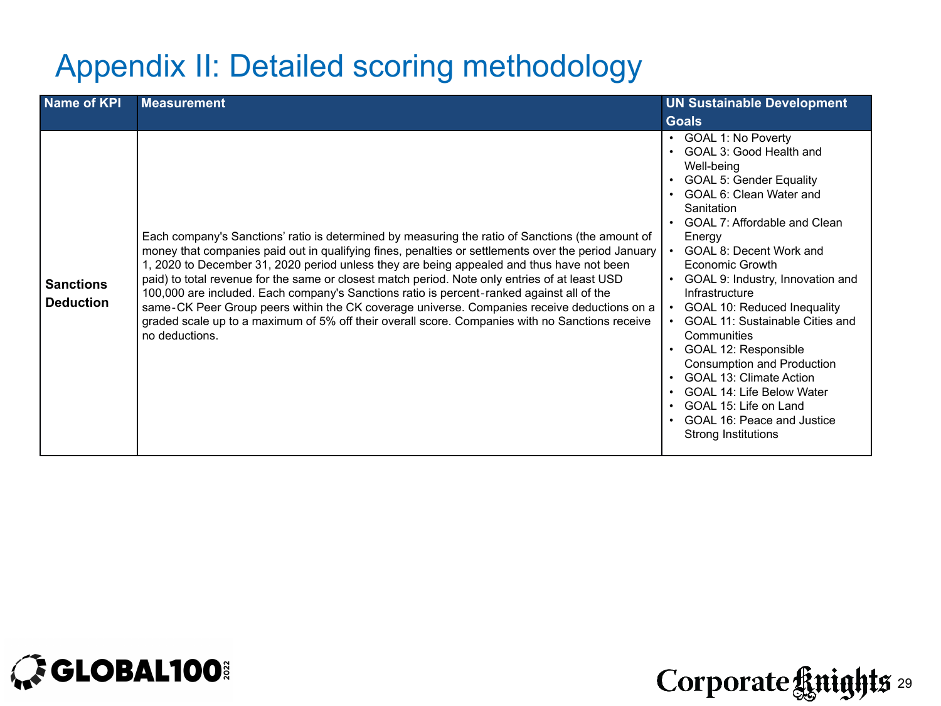| <b>Name of KPI</b>                   | <b>Measurement</b>                                                                                                                                                                                                                                                                                                                                                                                                                                                                                                                                                                                                                                                                                                                | <b>UN Sustainable Development</b>                                                                                                                                                                                                                                                                                                                                                                                                                                                                                                                                                                    |
|--------------------------------------|-----------------------------------------------------------------------------------------------------------------------------------------------------------------------------------------------------------------------------------------------------------------------------------------------------------------------------------------------------------------------------------------------------------------------------------------------------------------------------------------------------------------------------------------------------------------------------------------------------------------------------------------------------------------------------------------------------------------------------------|------------------------------------------------------------------------------------------------------------------------------------------------------------------------------------------------------------------------------------------------------------------------------------------------------------------------------------------------------------------------------------------------------------------------------------------------------------------------------------------------------------------------------------------------------------------------------------------------------|
|                                      |                                                                                                                                                                                                                                                                                                                                                                                                                                                                                                                                                                                                                                                                                                                                   | <b>Goals</b>                                                                                                                                                                                                                                                                                                                                                                                                                                                                                                                                                                                         |
| <b>Sanctions</b><br><b>Deduction</b> | Each company's Sanctions' ratio is determined by measuring the ratio of Sanctions (the amount of<br>money that companies paid out in qualifying fines, penalties or settlements over the period January $ \cdot $<br>1, 2020 to December 31, 2020 period unless they are being appealed and thus have not been<br>paid) to total revenue for the same or closest match period. Note only entries of at least USD<br>100,000 are included. Each company's Sanctions ratio is percent-ranked against all of the<br>same-CK Peer Group peers within the CK coverage universe. Companies receive deductions on a<br>graded scale up to a maximum of 5% off their overall score. Companies with no Sanctions receive<br>no deductions. | • GOAL 1: No Poverty<br>GOAL 3: Good Health and<br>Well-being<br><b>GOAL 5: Gender Equality</b><br>GOAL 6: Clean Water and<br>Sanitation<br>GOAL 7: Affordable and Clean<br>Energy<br>GOAL 8: Decent Work and<br>Economic Growth<br>GOAL 9: Industry, Innovation and<br>$\bullet$<br>Infrastructure<br>GOAL 10: Reduced Inequality<br>GOAL 11: Sustainable Cities and<br>Communities<br>GOAL 12: Responsible<br>$\bullet$<br>Consumption and Production<br>GOAL 13: Climate Action<br>GOAL 14: Life Below Water<br>GOAL 15: Life on Land<br>GOAL 16: Peace and Justice<br><b>Strong Institutions</b> |

Corporate ginights<sup>29</sup>

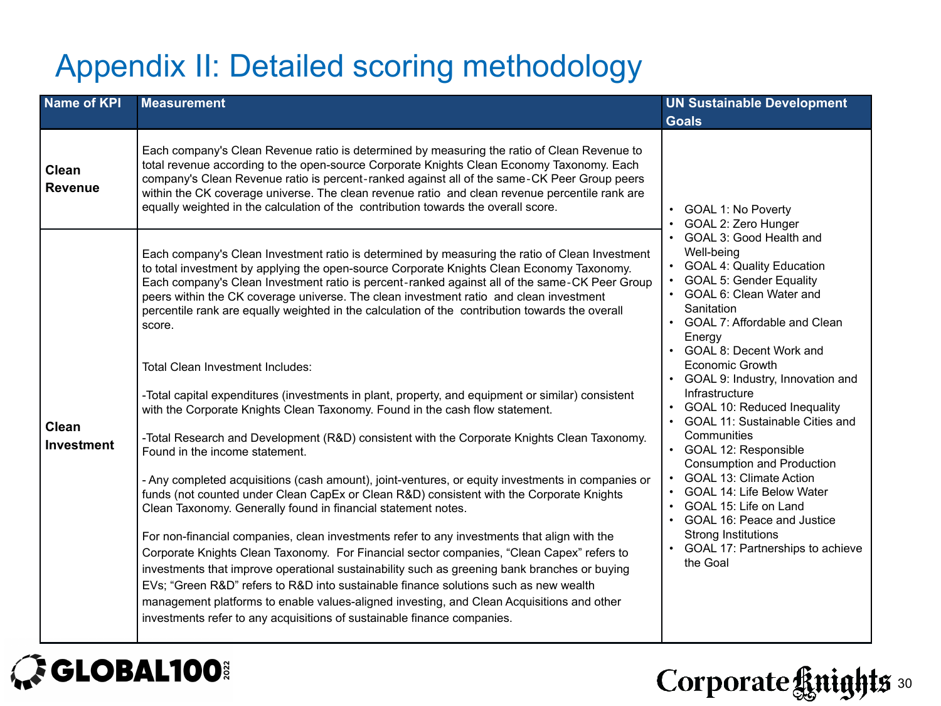| <b>Name of KPI</b>         | <b>Measurement</b>                                                                                                                                                                                                                                                                                                                                                                                                                                                                                                                                                                                                                                                                                                                                                                                                                                                                                                                                                                                                                                                                                                                                                                                                                                                                                                                                                                                                                                                                                                                                                                                                                                                                          | <b>UN Sustainable Development</b>                                                                                                                                                                                                                                                                                                                                                                                                                                                                                                                                                                                                                    |
|----------------------------|---------------------------------------------------------------------------------------------------------------------------------------------------------------------------------------------------------------------------------------------------------------------------------------------------------------------------------------------------------------------------------------------------------------------------------------------------------------------------------------------------------------------------------------------------------------------------------------------------------------------------------------------------------------------------------------------------------------------------------------------------------------------------------------------------------------------------------------------------------------------------------------------------------------------------------------------------------------------------------------------------------------------------------------------------------------------------------------------------------------------------------------------------------------------------------------------------------------------------------------------------------------------------------------------------------------------------------------------------------------------------------------------------------------------------------------------------------------------------------------------------------------------------------------------------------------------------------------------------------------------------------------------------------------------------------------------|------------------------------------------------------------------------------------------------------------------------------------------------------------------------------------------------------------------------------------------------------------------------------------------------------------------------------------------------------------------------------------------------------------------------------------------------------------------------------------------------------------------------------------------------------------------------------------------------------------------------------------------------------|
|                            |                                                                                                                                                                                                                                                                                                                                                                                                                                                                                                                                                                                                                                                                                                                                                                                                                                                                                                                                                                                                                                                                                                                                                                                                                                                                                                                                                                                                                                                                                                                                                                                                                                                                                             | <b>Goals</b>                                                                                                                                                                                                                                                                                                                                                                                                                                                                                                                                                                                                                                         |
| Clean<br><b>Revenue</b>    | Each company's Clean Revenue ratio is determined by measuring the ratio of Clean Revenue to<br>total revenue according to the open-source Corporate Knights Clean Economy Taxonomy. Each<br>company's Clean Revenue ratio is percent-ranked against all of the same-CK Peer Group peers<br>within the CK coverage universe. The clean revenue ratio and clean revenue percentile rank are<br>equally weighted in the calculation of the contribution towards the overall score.                                                                                                                                                                                                                                                                                                                                                                                                                                                                                                                                                                                                                                                                                                                                                                                                                                                                                                                                                                                                                                                                                                                                                                                                             | • GOAL 1: No Poverty<br>GOAL 2: Zero Hunger                                                                                                                                                                                                                                                                                                                                                                                                                                                                                                                                                                                                          |
| Clean<br><b>Investment</b> | Each company's Clean Investment ratio is determined by measuring the ratio of Clean Investment<br>to total investment by applying the open-source Corporate Knights Clean Economy Taxonomy.<br>Each company's Clean Investment ratio is percent-ranked against all of the same-CK Peer Group<br>peers within the CK coverage universe. The clean investment ratio and clean investment<br>percentile rank are equally weighted in the calculation of the contribution towards the overall<br>score.<br>Total Clean Investment Includes:<br>-Total capital expenditures (investments in plant, property, and equipment or similar) consistent<br>with the Corporate Knights Clean Taxonomy. Found in the cash flow statement.<br>-Total Research and Development (R&D) consistent with the Corporate Knights Clean Taxonomy.<br>Found in the income statement.<br>- Any completed acquisitions (cash amount), joint-ventures, or equity investments in companies or<br>funds (not counted under Clean CapEx or Clean R&D) consistent with the Corporate Knights<br>Clean Taxonomy. Generally found in financial statement notes.<br>For non-financial companies, clean investments refer to any investments that align with the<br>Corporate Knights Clean Taxonomy. For Financial sector companies, "Clean Capex" refers to<br>investments that improve operational sustainability such as greening bank branches or buying<br>EVs; "Green R&D" refers to R&D into sustainable finance solutions such as new wealth<br>management platforms to enable values-aligned investing, and Clean Acquisitions and other<br>investments refer to any acquisitions of sustainable finance companies. | • GOAL 3: Good Health and<br>Well-being<br>• GOAL 4: Quality Education<br><b>GOAL 5: Gender Equality</b><br>• GOAL 6: Clean Water and<br>Sanitation<br>• GOAL 7: Affordable and Clean<br>Energy<br>• GOAL 8: Decent Work and<br>Economic Growth<br>GOAL 9: Industry, Innovation and<br>Infrastructure<br>GOAL 10: Reduced Inequality<br>GOAL 11: Sustainable Cities and<br>Communities<br>• GOAL 12: Responsible<br>Consumption and Production<br><b>GOAL 13: Climate Action</b><br>GOAL 14: Life Below Water<br>GOAL 15: Life on Land<br>GOAL 16: Peace and Justice<br><b>Strong Institutions</b><br>• GOAL 17: Partnerships to achieve<br>the Goal |

#### GLOBAL100

# Corporate ginights 30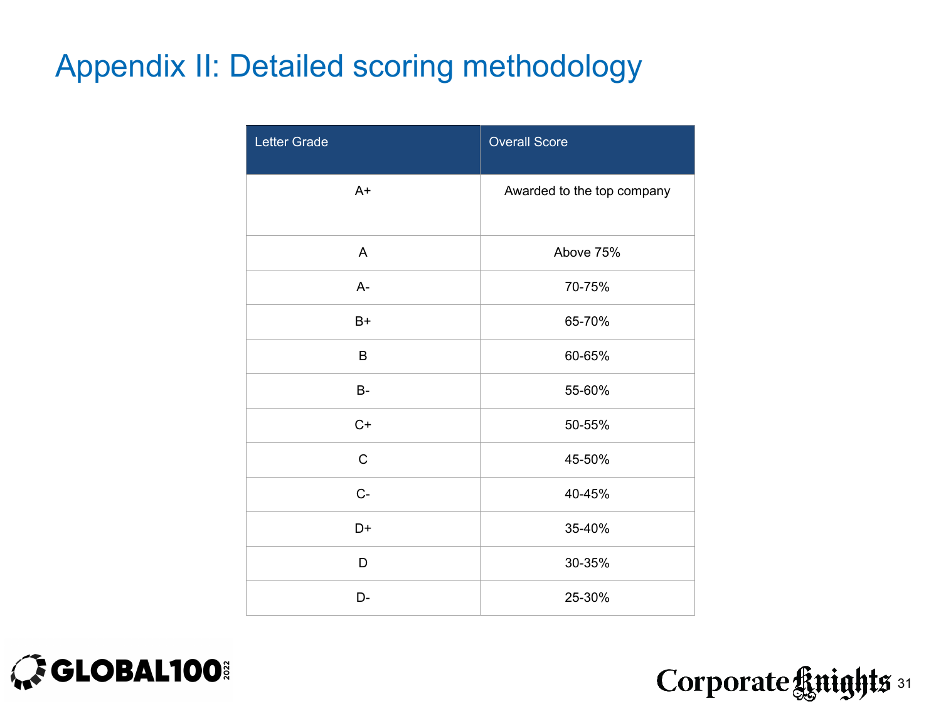| Letter Grade | <b>Overall Score</b>       |
|--------------|----------------------------|
| $A+$         | Awarded to the top company |
| A            | Above 75%                  |
| $A -$        | 70-75%                     |
| $B+$         | 65-70%                     |
| B            | 60-65%                     |
| <b>B-</b>    | 55-60%                     |
| $C+$         | 50-55%                     |
| $\mathsf C$  | 45-50%                     |
| $C -$        | 40-45%                     |
| D+           | 35-40%                     |
| D            | 30-35%                     |
| D-           | 25-30%                     |



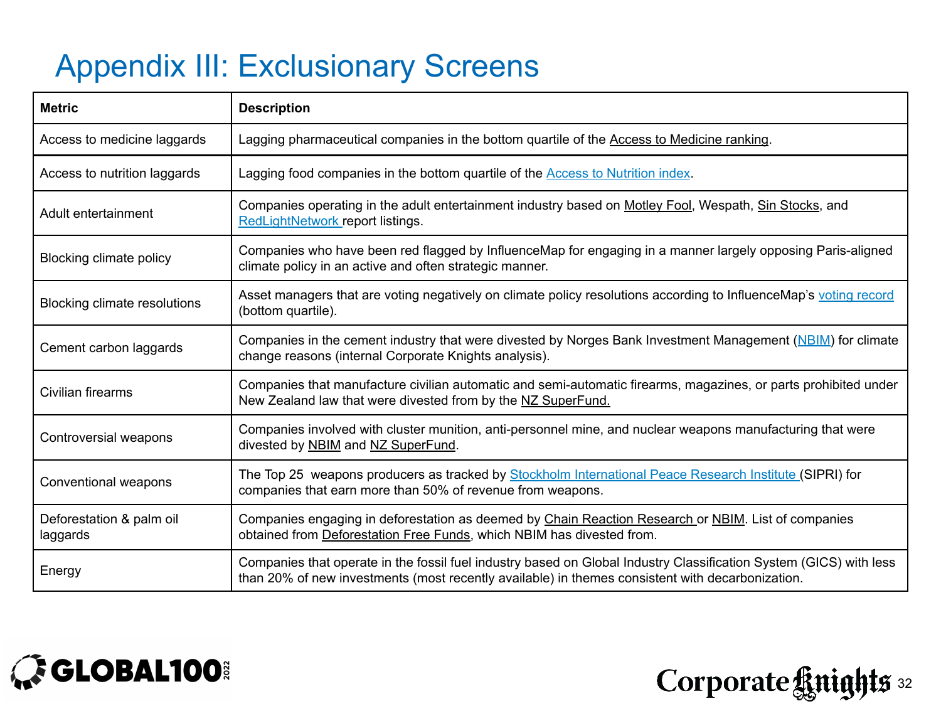# Appendix III: Exclusionary Screens

| <b>Metric</b>                        | <b>Description</b>                                                                                                                                                                                                     |
|--------------------------------------|------------------------------------------------------------------------------------------------------------------------------------------------------------------------------------------------------------------------|
| Access to medicine laggards          | Lagging pharmaceutical companies in the bottom quartile of the Access to Medicine ranking.                                                                                                                             |
| Access to nutrition laggards         | Lagging food companies in the bottom quartile of the Access to Nutrition index.                                                                                                                                        |
| Adult entertainment                  | Companies operating in the adult entertainment industry based on Motley Fool, Wespath, Sin Stocks, and<br>RedLightNetwork report listings.                                                                             |
| <b>Blocking climate policy</b>       | Companies who have been red flagged by InfluenceMap for engaging in a manner largely opposing Paris-aligned<br>climate policy in an active and often strategic manner.                                                 |
| <b>Blocking climate resolutions</b>  | Asset managers that are voting negatively on climate policy resolutions according to InfluenceMap's voting record<br>(bottom quartile).                                                                                |
| Cement carbon laggards               | Companies in the cement industry that were divested by Norges Bank Investment Management (NBIM) for climate<br>change reasons (internal Corporate Knights analysis).                                                   |
| Civilian firearms                    | Companies that manufacture civilian automatic and semi-automatic firearms, magazines, or parts prohibited under<br>New Zealand law that were divested from by the NZ SuperFund.                                        |
| Controversial weapons                | Companies involved with cluster munition, anti-personnel mine, and nuclear weapons manufacturing that were<br>divested by NBIM and NZ SuperFund.                                                                       |
| Conventional weapons                 | The Top 25 weapons producers as tracked by Stockholm International Peace Research Institute (SIPRI) for<br>companies that earn more than 50% of revenue from weapons.                                                  |
| Deforestation & palm oil<br>laggards | Companies engaging in deforestation as deemed by Chain Reaction Research or NBIM. List of companies<br>obtained from Deforestation Free Funds, which NBIM has divested from.                                           |
| Energy                               | Companies that operate in the fossil fuel industry based on Global Industry Classification System (GICS) with less<br>than 20% of new investments (most recently available) in themes consistent with decarbonization. |



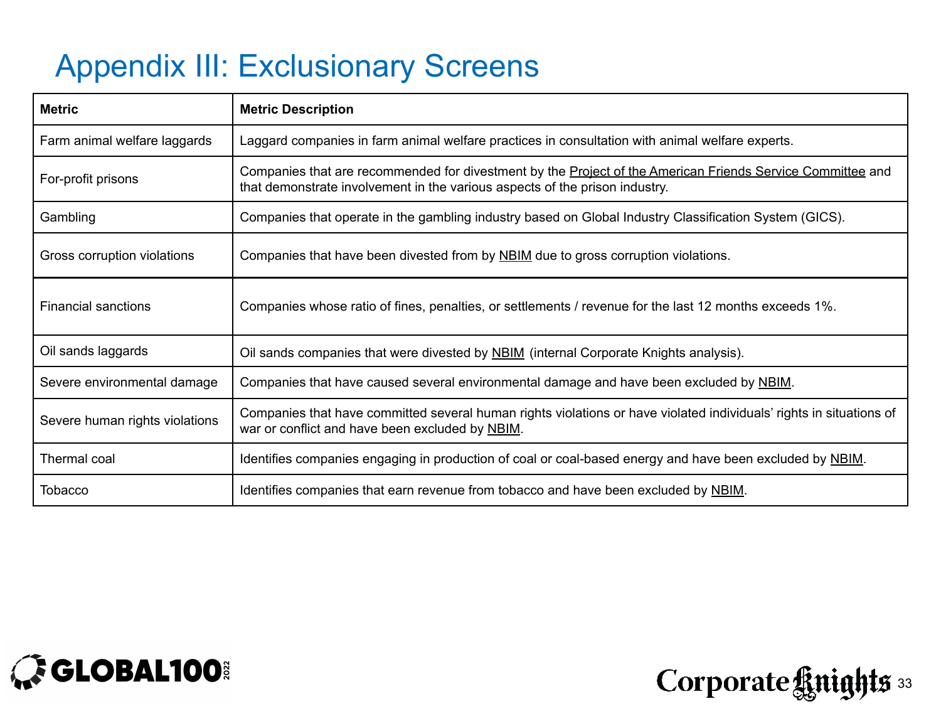# Appendix III: Exclusionary Screens

| <b>Metric</b>                  | <b>Metric Description</b>                                                                                                                                                                 |
|--------------------------------|-------------------------------------------------------------------------------------------------------------------------------------------------------------------------------------------|
| Farm animal welfare laggards   | Laggard companies in farm animal welfare practices in consultation with animal welfare experts.                                                                                           |
| For-profit prisons             | Companies that are recommended for divestment by the Project of the American Friends Service Committee and<br>that demonstrate involvement in the various aspects of the prison industry. |
| Gambling                       | Companies that operate in the gambling industry based on Global Industry Classification System (GICS).                                                                                    |
| Gross corruption violations    | Companies that have been divested from by NBIM due to gross corruption violations.                                                                                                        |
| <b>Financial sanctions</b>     | Companies whose ratio of fines, penalties, or settlements / revenue for the last 12 months exceeds 1%.                                                                                    |
| Oil sands laggards             | Oil sands companies that were divested by <b>NBIM</b> (internal Corporate Knights analysis).                                                                                              |
| Severe environmental damage    | Companies that have caused several environmental damage and have been excluded by NBIM.                                                                                                   |
| Severe human rights violations | Companies that have committed several human rights violations or have violated individuals' rights in situations of<br>war or conflict and have been excluded by NBIM.                    |
| Thermal coal                   | Identifies companies engaging in production of coal or coal-based energy and have been excluded by NBIM.                                                                                  |
| Tobacco                        | Identifies companies that earn revenue from tobacco and have been excluded by NBIM.                                                                                                       |